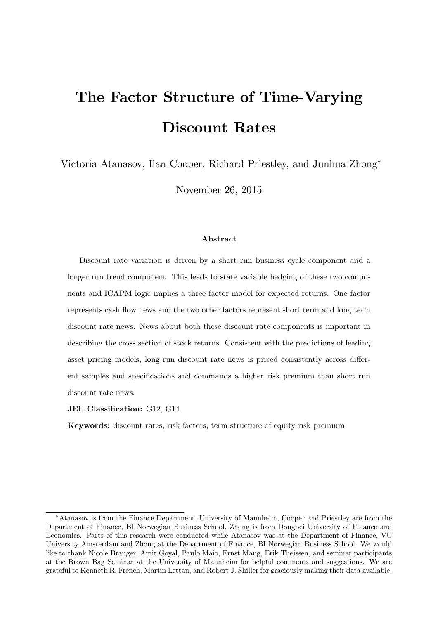# The Factor Structure of Time-Varying Discount Rates

Victoria Atanasov, Ilan Cooper, Richard Priestley, and Junhua Zhong

November 26, 2015

#### Abstract

Discount rate variation is driven by a short run business cycle component and a longer run trend component. This leads to state variable hedging of these two components and ICAPM logic implies a three factor model for expected returns. One factor represents cash áow news and the two other factors represent short term and long term discount rate news. News about both these discount rate components is important in describing the cross section of stock returns. Consistent with the predictions of leading asset pricing models, long run discount rate news is priced consistently across different samples and specifications and commands a higher risk premium than short run discount rate news.

#### JEL Classification: G12, G14

Keywords: discount rates, risk factors, term structure of equity risk premium

Atanasov is from the Finance Department, University of Mannheim, Cooper and Priestley are from the Department of Finance, BI Norwegian Business School, Zhong is from Dongbei University of Finance and Economics. Parts of this research were conducted while Atanasov was at the Department of Finance, VU University Amsterdam and Zhong at the Department of Finance, BI Norwegian Business School. We would like to thank Nicole Branger, Amit Goyal, Paulo Maio, Ernst Maug, Erik Theissen, and seminar participants at the Brown Bag Seminar at the University of Mannheim for helpful comments and suggestions. We are grateful to Kenneth R. French, Martin Lettau, and Robert J. Shiller for graciously making their data available.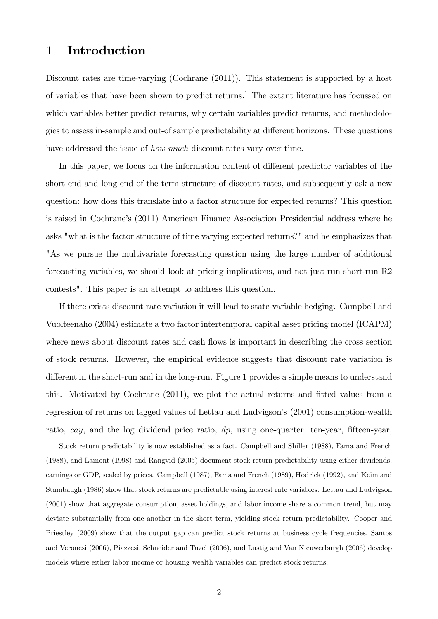# 1 Introduction

Discount rates are time-varying (Cochrane (2011)). This statement is supported by a host of variables that have been shown to predict returns.<sup>1</sup> The extant literature has focussed on which variables better predict returns, why certain variables predict returns, and methodologies to assess in-sample and out-of sample predictability at different horizons. These questions have addressed the issue of *how much* discount rates vary over time.

In this paper, we focus on the information content of different predictor variables of the short end and long end of the term structure of discount rates, and subsequently ask a new question: how does this translate into a factor structure for expected returns? This question is raised in Cochrane's (2011) American Finance Association Presidential address where he asks "what is the factor structure of time varying expected returns?" and he emphasizes that "As we pursue the multivariate forecasting question using the large number of additional forecasting variables, we should look at pricing implications, and not just run short-run R2 contests". This paper is an attempt to address this question.

If there exists discount rate variation it will lead to state-variable hedging. Campbell and Vuolteenaho (2004) estimate a two factor intertemporal capital asset pricing model (ICAPM) where news about discount rates and cash flows is important in describing the cross section of stock returns. However, the empirical evidence suggests that discount rate variation is different in the short-run and in the long-run. Figure 1 provides a simple means to understand this. Motivated by Cochrane (2011), we plot the actual returns and Ötted values from a regression of returns on lagged values of Lettau and Ludvigson's (2001) consumption-wealth ratio, cay, and the log dividend price ratio,  $dp$ , using one-quarter, ten-year, fifteen-year,

<sup>1</sup>Stock return predictability is now established as a fact. Campbell and Shiller (1988), Fama and French (1988), and Lamont (1998) and Rangvid (2005) document stock return predictability using either dividends, earnings or GDP, scaled by prices. Campbell (1987), Fama and French (1989), Hodrick (1992), and Keim and Stambaugh (1986) show that stock returns are predictable using interest rate variables. Lettau and Ludvigson (2001) show that aggregate consumption, asset holdings, and labor income share a common trend, but may deviate substantially from one another in the short term, yielding stock return predictability. Cooper and Priestley (2009) show that the output gap can predict stock returns at business cycle frequencies. Santos and Veronesi (2006), Piazzesi, Schneider and Tuzel (2006), and Lustig and Van Nieuwerburgh (2006) develop models where either labor income or housing wealth variables can predict stock returns.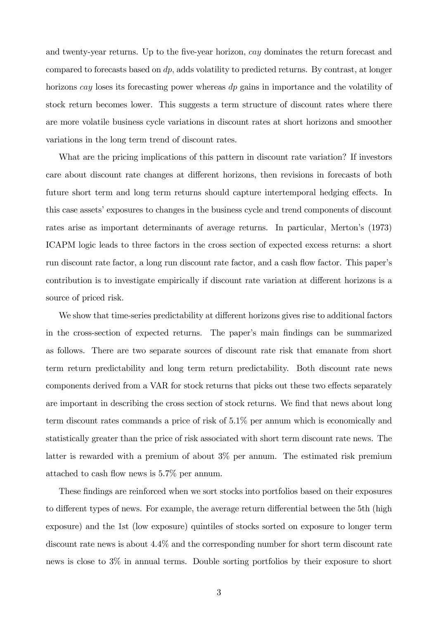and twenty-year returns. Up to the five-year horizon, cay dominates the return forecast and compared to forecasts based on dp; adds volatility to predicted returns. By contrast, at longer horizons cay loses its forecasting power whereas dp gains in importance and the volatility of stock return becomes lower. This suggests a term structure of discount rates where there are more volatile business cycle variations in discount rates at short horizons and smoother variations in the long term trend of discount rates.

What are the pricing implications of this pattern in discount rate variation? If investors care about discount rate changes at different horizons, then revisions in forecasts of both future short term and long term returns should capture intertemporal hedging effects. In this case assets' exposures to changes in the business cycle and trend components of discount rates arise as important determinants of average returns. In particular, Merton's (1973) ICAPM logic leads to three factors in the cross section of expected excess returns: a short run discount rate factor, a long run discount rate factor, and a cash flow factor. This paper's contribution is to investigate empirically if discount rate variation at different horizons is a source of priced risk.

We show that time-series predictability at different horizons gives rise to additional factors in the cross-section of expected returns. The paper's main findings can be summarized as follows. There are two separate sources of discount rate risk that emanate from short term return predictability and long term return predictability. Both discount rate news components derived from a VAR for stock returns that picks out these two effects separately are important in describing the cross section of stock returns. We find that news about long term discount rates commands a price of risk of 5.1% per annum which is economically and statistically greater than the price of risk associated with short term discount rate news. The latter is rewarded with a premium of about 3% per annum. The estimated risk premium attached to cash flow news is  $5.7\%$  per annum.

These findings are reinforced when we sort stocks into portfolios based on their exposures to different types of news. For example, the average return differential between the 5th (high exposure) and the 1st (low exposure) quintiles of stocks sorted on exposure to longer term discount rate news is about 4.4% and the corresponding number for short term discount rate news is close to 3% in annual terms. Double sorting portfolios by their exposure to short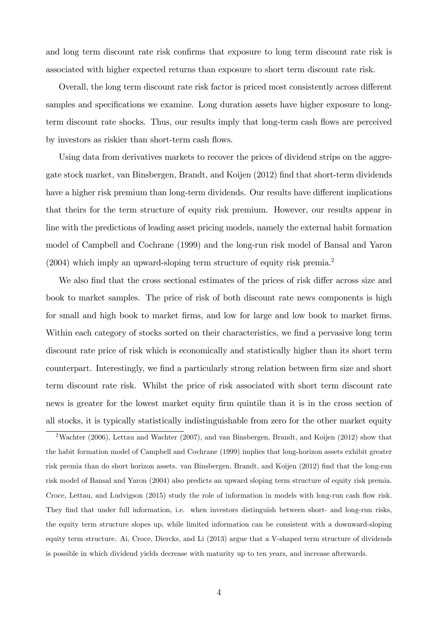and long term discount rate risk confirms that exposure to long term discount rate risk is associated with higher expected returns than exposure to short term discount rate risk.

Overall, the long term discount rate risk factor is priced most consistently across different samples and specifications we examine. Long duration assets have higher exposure to longterm discount rate shocks. Thus, our results imply that long-term cash flows are perceived by investors as riskier than short-term cash flows.

Using data from derivatives markets to recover the prices of dividend strips on the aggregate stock market, van Binsbergen, Brandt, and Koijen (2012) Önd that short-term dividends have a higher risk premium than long-term dividends. Our results have different implications that theirs for the term structure of equity risk premium. However, our results appear in line with the predictions of leading asset pricing models, namely the external habit formation model of Campbell and Cochrane (1999) and the long-run risk model of Bansal and Yaron  $(2004)$  which imply an upward-sloping term structure of equity risk premia.<sup>2</sup>

We also find that the cross sectional estimates of the prices of risk differ across size and book to market samples. The price of risk of both discount rate news components is high for small and high book to market firms, and low for large and low book to market firms. Within each category of stocks sorted on their characteristics, we find a pervasive long term discount rate price of risk which is economically and statistically higher than its short term counterpart. Interestingly, we find a particularly strong relation between firm size and short term discount rate risk. Whilst the price of risk associated with short term discount rate news is greater for the lowest market equity firm quintile than it is in the cross section of all stocks, it is typically statistically indistinguishable from zero for the other market equity

<sup>2</sup>Wachter (2006), Lettau and Wachter (2007), and van Binsbergen, Brandt, and Koijen (2012) show that the habit formation model of Campbell and Cochrane (1999) implies that long-horizon assets exhibit greater risk premia than do short horizon assets. van Binsbergen, Brandt, and Koijen (2012) find that the long-run risk model of Bansal and Yaron (2004) also predicts an upward sloping term structure of equity risk premia. Croce, Lettau, and Ludvigson (2015) study the role of information in models with long-run cash flow risk. They find that under full information, i.e. when investors distinguish between short- and long-run risks, the equity term structure slopes up, while limited information can be consistent with a downward-sloping equity term structure. Ai, Croce, Diercks, and Li (2013) argue that a V-shaped term structure of dividends is possible in which dividend yields decrease with maturity up to ten years, and increase afterwards.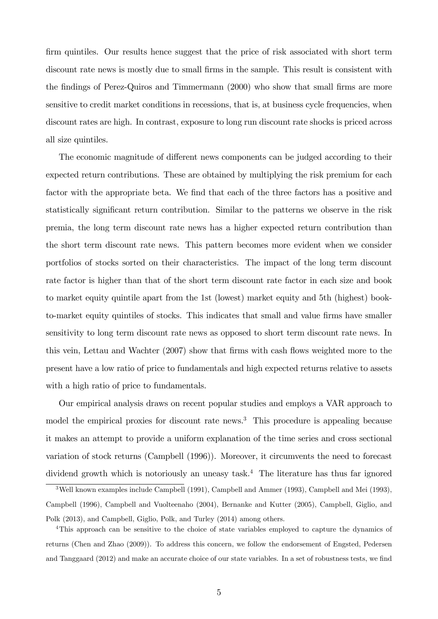firm quintiles. Our results hence suggest that the price of risk associated with short term discount rate news is mostly due to small firms in the sample. This result is consistent with the findings of Perez-Quiros and Timmermann (2000) who show that small firms are more sensitive to credit market conditions in recessions, that is, at business cycle frequencies, when discount rates are high. In contrast, exposure to long run discount rate shocks is priced across all size quintiles.

The economic magnitude of different news components can be judged according to their expected return contributions. These are obtained by multiplying the risk premium for each factor with the appropriate beta. We find that each of the three factors has a positive and statistically significant return contribution. Similar to the patterns we observe in the risk premia, the long term discount rate news has a higher expected return contribution than the short term discount rate news. This pattern becomes more evident when we consider portfolios of stocks sorted on their characteristics. The impact of the long term discount rate factor is higher than that of the short term discount rate factor in each size and book to market equity quintile apart from the 1st (lowest) market equity and 5th (highest) bookto-market equity quintiles of stocks. This indicates that small and value firms have smaller sensitivity to long term discount rate news as opposed to short term discount rate news. In this vein, Lettau and Wachter (2007) show that firms with cash flows weighted more to the present have a low ratio of price to fundamentals and high expected returns relative to assets with a high ratio of price to fundamentals.

Our empirical analysis draws on recent popular studies and employs a VAR approach to model the empirical proxies for discount rate news.<sup>3</sup> This procedure is appealing because it makes an attempt to provide a uniform explanation of the time series and cross sectional variation of stock returns (Campbell (1996)). Moreover, it circumvents the need to forecast dividend growth which is notoriously an uneasy task.<sup>4</sup> The literature has thus far ignored

<sup>4</sup>This approach can be sensitive to the choice of state variables employed to capture the dynamics of returns (Chen and Zhao (2009)). To address this concern, we follow the endorsement of Engsted, Pedersen and Tanggaard (2012) and make an accurate choice of our state variables. In a set of robustness tests, we find

<sup>3</sup>Well known examples include Campbell (1991), Campbell and Ammer (1993), Campbell and Mei (1993), Campbell (1996), Campbell and Vuolteenaho (2004), Bernanke and Kutter (2005), Campbell, Giglio, and Polk (2013), and Campbell, Giglio, Polk, and Turley (2014) among others.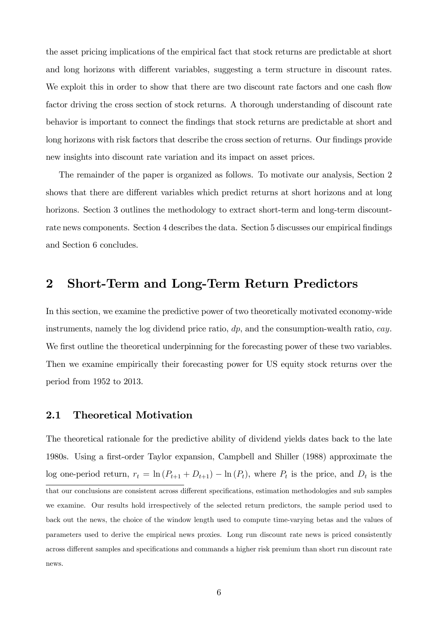the asset pricing implications of the empirical fact that stock returns are predictable at short and long horizons with different variables, suggesting a term structure in discount rates. We exploit this in order to show that there are two discount rate factors and one cash flow factor driving the cross section of stock returns. A thorough understanding of discount rate behavior is important to connect the Öndings that stock returns are predictable at short and long horizons with risk factors that describe the cross section of returns. Our findings provide new insights into discount rate variation and its impact on asset prices.

The remainder of the paper is organized as follows. To motivate our analysis, Section 2 shows that there are different variables which predict returns at short horizons and at long horizons. Section 3 outlines the methodology to extract short-term and long-term discountrate news components. Section 4 describes the data. Section 5 discusses our empirical findings and Section 6 concludes.

# 2 Short-Term and Long-Term Return Predictors

In this section, we examine the predictive power of two theoretically motivated economy-wide instruments, namely the log dividend price ratio,  $dp$ , and the consumption-wealth ratio, cay. We first outline the theoretical underpinning for the forecasting power of these two variables. Then we examine empirically their forecasting power for US equity stock returns over the period from 1952 to 2013.

# 2.1 Theoretical Motivation

The theoretical rationale for the predictive ability of dividend yields dates back to the late 1980s. Using a first-order Taylor expansion, Campbell and Shiller (1988) approximate the log one-period return,  $r_t = \ln (P_{t+1} + D_{t+1}) - \ln (P_t)$ , where  $P_t$  is the price, and  $D_t$  is the that our conclusions are consistent across different specifications, estimation methodologies and sub samples we examine. Our results hold irrespectively of the selected return predictors, the sample period used to back out the news, the choice of the window length used to compute time-varying betas and the values of parameters used to derive the empirical news proxies. Long run discount rate news is priced consistently across different samples and specifications and commands a higher risk premium than short run discount rate news.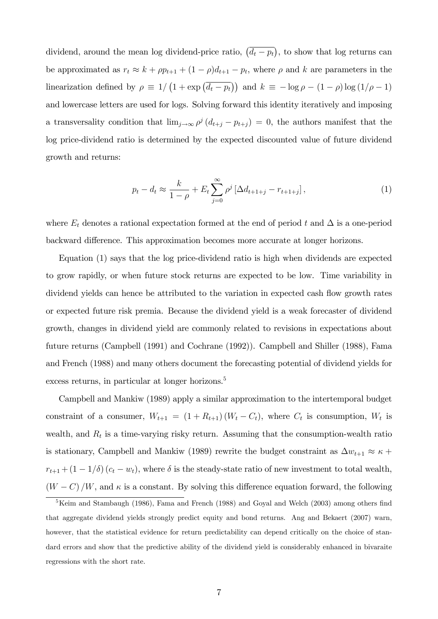dividend, around the mean log dividend-price ratio,  $(\overline{d_t - p_t})$ , to show that log returns can be approximated as  $r_t \approx k + \rho p_{t+1} + (1 - \rho)d_{t+1} - p_t$ , where  $\rho$  and k are parameters in the linearization defined by  $\rho \equiv 1/\left(1 + \exp\left(\overline{d_t - p_t}\right)\right)$  and  $k \equiv -\log \rho - (1 - \rho)\log(1/\rho - 1)$ and lowercase letters are used for logs. Solving forward this identity iteratively and imposing a transversality condition that  $\lim_{j\to\infty}\rho^j(d_{t+j} - p_{t+j}) = 0$ , the authors manifest that the log price-dividend ratio is determined by the expected discounted value of future dividend growth and returns:

$$
p_t - d_t \approx \frac{k}{1 - \rho} + E_t \sum_{j=0}^{\infty} \rho^j \left[ \Delta d_{t+1+j} - r_{t+1+j} \right],
$$
 (1)

where  $E_t$  denotes a rational expectation formed at the end of period t and  $\Delta$  is a one-period backward difference. This approximation becomes more accurate at longer horizons.

Equation (1) says that the log price-dividend ratio is high when dividends are expected to grow rapidly, or when future stock returns are expected to be low. Time variability in dividend yields can hence be attributed to the variation in expected cash flow growth rates or expected future risk premia. Because the dividend yield is a weak forecaster of dividend growth, changes in dividend yield are commonly related to revisions in expectations about future returns (Campbell (1991) and Cochrane (1992)). Campbell and Shiller (1988), Fama and French (1988) and many others document the forecasting potential of dividend yields for excess returns, in particular at longer horizons.<sup>5</sup>

Campbell and Mankiw (1989) apply a similar approximation to the intertemporal budget constraint of a consumer,  $W_{t+1} = (1 + R_{t+1})(W_t - C_t)$ , where  $C_t$  is consumption,  $W_t$  is wealth, and  $R_t$  is a time-varying risky return. Assuming that the consumption-wealth ratio is stationary, Campbell and Mankiw (1989) rewrite the budget constraint as  $\Delta w_{t+1} \approx \kappa +$  $r_{t+1} + (1 - 1/\delta) (c_t - w_t)$ , where  $\delta$  is the steady-state ratio of new investment to total wealth,  $(W - C)/W$ , and  $\kappa$  is a constant. By solving this difference equation forward, the following

 $5$ Keim and Stambaugh (1986), Fama and French (1988) and Goyal and Welch (2003) among others find that aggregate dividend yields strongly predict equity and bond returns. Ang and Bekaert (2007) warn, however, that the statistical evidence for return predictability can depend critically on the choice of standard errors and show that the predictive ability of the dividend yield is considerably enhanced in bivaraite regressions with the short rate.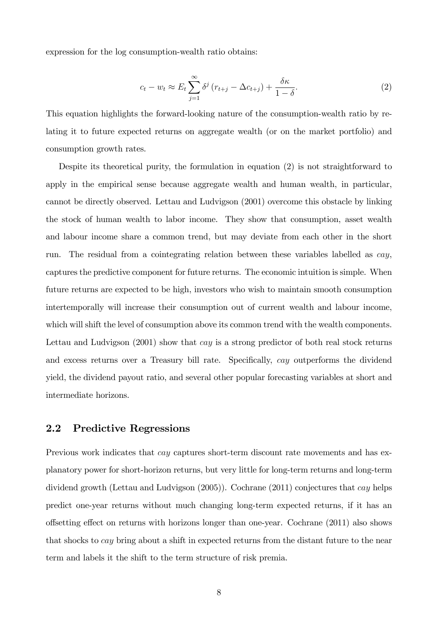expression for the log consumption-wealth ratio obtains:

$$
c_t - w_t \approx E_t \sum_{j=1}^{\infty} \delta^j \left( r_{t+j} - \Delta c_{t+j} \right) + \frac{\delta \kappa}{1 - \delta}.
$$
 (2)

This equation highlights the forward-looking nature of the consumption-wealth ratio by relating it to future expected returns on aggregate wealth (or on the market portfolio) and consumption growth rates.

Despite its theoretical purity, the formulation in equation (2) is not straightforward to apply in the empirical sense because aggregate wealth and human wealth, in particular, cannot be directly observed. Lettau and Ludvigson (2001) overcome this obstacle by linking the stock of human wealth to labor income. They show that consumption, asset wealth and labour income share a common trend, but may deviate from each other in the short run. The residual from a cointegrating relation between these variables labelled as cay, captures the predictive component for future returns. The economic intuition is simple. When future returns are expected to be high, investors who wish to maintain smooth consumption intertemporally will increase their consumption out of current wealth and labour income, which will shift the level of consumption above its common trend with the wealth components. Lettau and Ludvigson  $(2001)$  show that *cay* is a strong predictor of both real stock returns and excess returns over a Treasury bill rate. Specifically, *cay* outperforms the dividend yield, the dividend payout ratio, and several other popular forecasting variables at short and intermediate horizons.

## 2.2 Predictive Regressions

Previous work indicates that *cay* captures short-term discount rate movements and has explanatory power for short-horizon returns, but very little for long-term returns and long-term dividend growth (Lettau and Ludvigson (2005)). Cochrane (2011) conjectures that cay helps predict one-year returns without much changing long-term expected returns, if it has an o§setting e§ect on returns with horizons longer than one-year. Cochrane (2011) also shows that shocks to cay bring about a shift in expected returns from the distant future to the near term and labels it the shift to the term structure of risk premia.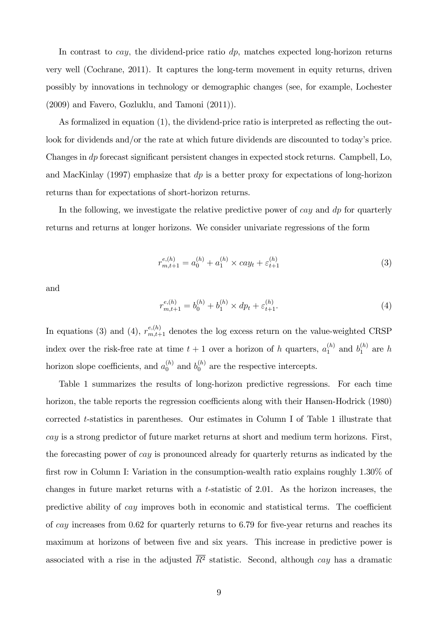In contrast to  $cay$ , the dividend-price ratio  $dp$ , matches expected long-horizon returns very well (Cochrane, 2011). It captures the long-term movement in equity returns, driven possibly by innovations in technology or demographic changes (see, for example, Lochester (2009) and Favero, Gozluklu, and Tamoni (2011)).

As formalized in equation  $(1)$ , the dividend-price ratio is interpreted as reflecting the outlook for dividends and/or the rate at which future dividends are discounted to today's price. Changes in  $dp$  forecast significant persistent changes in expected stock returns. Campbell, Lo, and MacKinlay (1997) emphasize that  $dp$  is a better proxy for expectations of long-horizon returns than for expectations of short-horizon returns.

In the following, we investigate the relative predictive power of cay and  $dp$  for quarterly returns and returns at longer horizons. We consider univariate regressions of the form

$$
r_{m,t+1}^{e,(h)} = a_0^{(h)} + a_1^{(h)} \times cay_t + \varepsilon_{t+1}^{(h)}
$$
\n(3)

and

$$
r_{m,t+1}^{e,(h)} = b_0^{(h)} + b_1^{(h)} \times dp_t + \varepsilon_{t+1}^{(h)}.
$$
\n(4)

In equations (3) and (4),  $r_{m,t+1}^{e,(h)}$  denotes the log excess return on the value-weighted CRSP index over the risk-free rate at time  $t + 1$  over a horizon of h quarters,  $a_1^{(h)}$  and  $b_1^{(h)}$  are h horizon slope coefficients, and  $a_0^{(h)}$  and  $b_0^{(h)}$  are the respective intercepts.

Table 1 summarizes the results of long-horizon predictive regressions. For each time horizon, the table reports the regression coefficients along with their Hansen-Hodrick (1980) corrected t-statistics in parentheses. Our estimates in Column I of Table 1 illustrate that cay is a strong predictor of future market returns at short and medium term horizons. First, the forecasting power of cay is pronounced already for quarterly returns as indicated by the first row in Column I: Variation in the consumption-wealth ratio explains roughly 1.30% of changes in future market returns with a t-statistic of  $2.01$ . As the horizon increases, the predictive ability of  $cay$  improves both in economic and statistical terms. The coefficient of cay increases from  $0.62$  for quarterly returns to 6.79 for five-year returns and reaches its maximum at horizons of between five and six years. This increase in predictive power is associated with a rise in the adjusted  $\overline{R}^2$  statistic. Second, although cay has a dramatic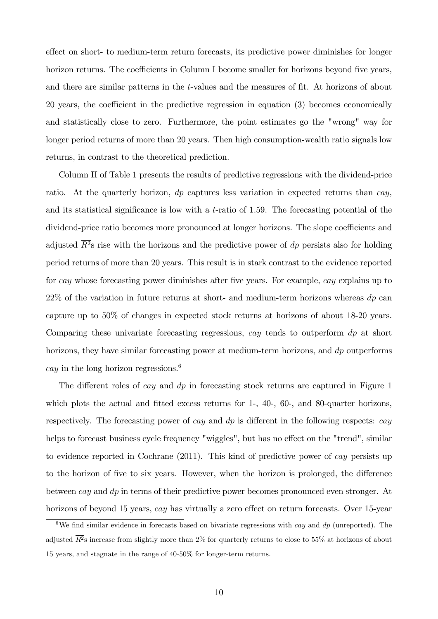effect on short- to medium-term return forecasts, its predictive power diminishes for longer horizon returns. The coefficients in Column I become smaller for horizons beyond five years, and there are similar patterns in the t-values and the measures of fit. At horizons of about 20 years, the coefficient in the predictive regression in equation  $(3)$  becomes economically and statistically close to zero. Furthermore, the point estimates go the "wrong" way for longer period returns of more than 20 years. Then high consumption-wealth ratio signals low returns, in contrast to the theoretical prediction.

Column II of Table 1 presents the results of predictive regressions with the dividend-price ratio. At the quarterly horizon,  $dp$  captures less variation in expected returns than cay, and its statistical significance is low with a  $t$ -ratio of 1.59. The forecasting potential of the dividend-price ratio becomes more pronounced at longer horizons. The slope coefficients and adjusted  $\overline{R^2}$ s rise with the horizons and the predictive power of dp persists also for holding period returns of more than 20 years. This result is in stark contrast to the evidence reported for cay whose forecasting power diminishes after five years. For example, cay explains up to  $22\%$  of the variation in future returns at short- and medium-term horizons whereas  $dp$  can capture up to 50% of changes in expected stock returns at horizons of about 18-20 years. Comparing these univariate forecasting regressions, cay tends to outperform dp at short horizons, they have similar forecasting power at medium-term horizons, and dp outperforms cay in the long horizon regressions.<sup>6</sup>

The different roles of *cay* and  $dp$  in forecasting stock returns are captured in Figure 1 which plots the actual and fitted excess returns for  $1-$ ,  $40-$ ,  $60-$ , and  $80-$ quarter horizons, respectively. The forecasting power of  $cay$  and  $dp$  is different in the following respects:  $cay$ helps to forecast business cycle frequency "wiggles", but has no effect on the "trend", similar to evidence reported in Cochrane (2011). This kind of predictive power of cay persists up to the horizon of five to six years. However, when the horizon is prolonged, the difference between cay and dp in terms of their predictive power becomes pronounced even stronger. At horizons of beyond 15 years,  $cay$  has virtually a zero effect on return forecasts. Over 15-year

<sup>&</sup>lt;sup>6</sup>We find similar evidence in forecasts based on bivariate regressions with *cay* and  $dp$  (unreported). The adjusted  $R^2$ s increase from slightly more than  $2\%$  for quarterly returns to close to 55% at horizons of about 15 years, and stagnate in the range of 40-50% for longer-term returns.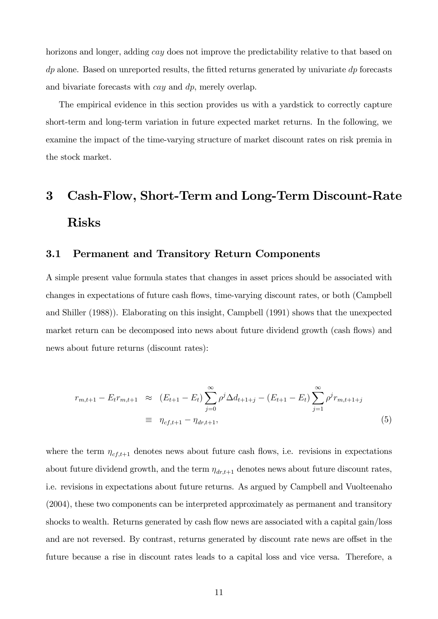horizons and longer, adding *cay* does not improve the predictability relative to that based on  $dp$  alone. Based on unreported results, the fitted returns generated by univariate  $dp$  forecasts and bivariate forecasts with *cay* and dp, merely overlap.

The empirical evidence in this section provides us with a yardstick to correctly capture short-term and long-term variation in future expected market returns. In the following, we examine the impact of the time-varying structure of market discount rates on risk premia in the stock market.

# 3 Cash-Flow, Short-Term and Long-Term Discount-Rate Risks

# 3.1 Permanent and Transitory Return Components

A simple present value formula states that changes in asset prices should be associated with changes in expectations of future cash flows, time-varying discount rates, or both (Campbell and Shiller (1988)). Elaborating on this insight, Campbell (1991) shows that the unexpected market return can be decomposed into news about future dividend growth (cash flows) and news about future returns (discount rates):

$$
r_{m,t+1} - E_t r_{m,t+1} \approx (E_{t+1} - E_t) \sum_{j=0}^{\infty} \rho^j \Delta d_{t+1+j} - (E_{t+1} - E_t) \sum_{j=1}^{\infty} \rho^j r_{m,t+1+j}
$$
  

$$
\equiv \eta_{cf,t+1} - \eta_{dr,t+1}, \tag{5}
$$

where the term  $\eta_{cf,t+1}$  denotes news about future cash flows, i.e. revisions in expectations about future dividend growth, and the term  $\eta_{dr,t+1}$  denotes news about future discount rates, i.e. revisions in expectations about future returns. As argued by Campbell and Vuolteenaho (2004), these two components can be interpreted approximately as permanent and transitory shocks to wealth. Returns generated by cash flow news are associated with a capital gain/loss and are not reversed. By contrast, returns generated by discount rate news are offset in the future because a rise in discount rates leads to a capital loss and vice versa. Therefore, a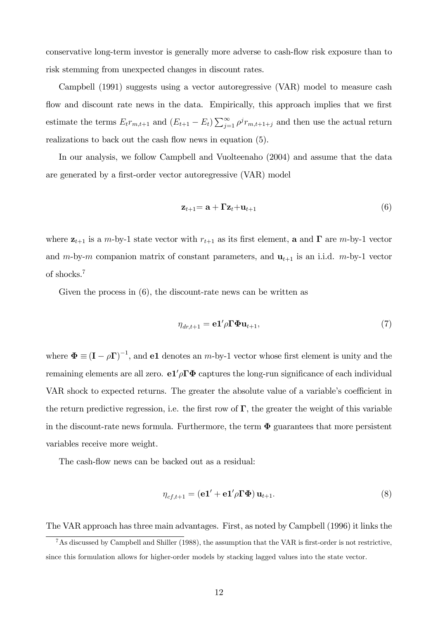conservative long-term investor is generally more adverse to cash-flow risk exposure than to risk stemming from unexpected changes in discount rates.

Campbell (1991) suggests using a vector autoregressive (VAR) model to measure cash flow and discount rate news in the data. Empirically, this approach implies that we first estimate the terms  $E_t r_{m,t+1}$  and  $(E_{t+1} - E_t) \sum_{j=1}^{\infty} \rho^j r_{m,t+1+j}$  and then use the actual return realizations to back out the cash flow news in equation  $(5)$ .

In our analysis, we follow Campbell and Vuolteenaho (2004) and assume that the data are generated by a first-order vector autoregressive (VAR) model

$$
\mathbf{z}_{t+1} = \mathbf{a} + \mathbf{\Gamma} \mathbf{z}_t + \mathbf{u}_{t+1} \tag{6}
$$

where  $z_{t+1}$  is a m-by-1 state vector with  $r_{t+1}$  as its first element, a and  $\Gamma$  are m-by-1 vector and m-by-m companion matrix of constant parameters, and  $\mathbf{u}_{t+1}$  is an i.i.d. m-by-1 vector of shocks.<sup>7</sup>

Given the process in (6), the discount-rate news can be written as

$$
\eta_{dr,t+1} = \mathbf{e} \mathbf{1}' \rho \mathbf{\Gamma} \mathbf{\Phi} \mathbf{u}_{t+1},\tag{7}
$$

where  $\mathbf{\Phi} \equiv (\mathbf{I} - \rho \mathbf{\Gamma})^{-1}$ , and **e1** denotes an *m*-by-1 vector whose first element is unity and the remaining elements are all zero.  $e1/\rho\Gamma\Phi$  captures the long-run significance of each individual VAR shock to expected returns. The greater the absolute value of a variable's coefficient in the return predictive regression, i.e. the first row of  $\Gamma$ , the greater the weight of this variable in the discount-rate news formula. Furthermore, the term  $\Phi$  guarantees that more persistent variables receive more weight.

The cash-flow news can be backed out as a residual:

$$
\eta_{cf,t+1} = (\mathbf{e}\mathbf{1}' + \mathbf{e}\mathbf{1}'\rho \mathbf{\Gamma}\mathbf{\Phi})\mathbf{u}_{t+1}.
$$
\n(8)

The VAR approach has three main advantages. First, as noted by Campbell (1996) it links the

 $7$ As discussed by Campbell and Shiller (1988), the assumption that the VAR is first-order is not restrictive, since this formulation allows for higher-order models by stacking lagged values into the state vector.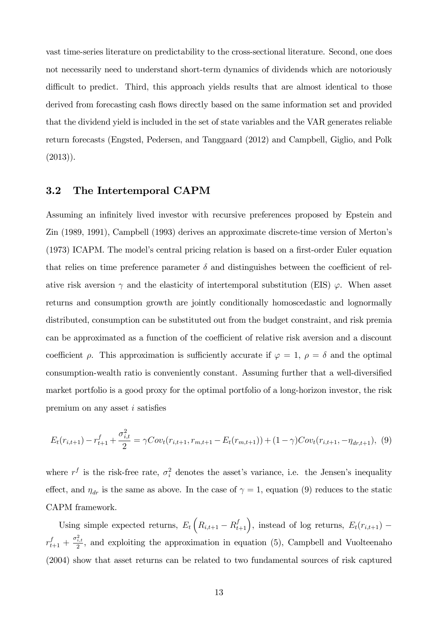vast time-series literature on predictability to the cross-sectional literature. Second, one does not necessarily need to understand short-term dynamics of dividends which are notoriously difficult to predict. Third, this approach yields results that are almost identical to those derived from forecasting cash flows directly based on the same information set and provided that the dividend yield is included in the set of state variables and the VAR generates reliable return forecasts (Engsted, Pedersen, and Tanggaard (2012) and Campbell, Giglio, and Polk  $(2013)$ .

# 3.2 The Intertemporal CAPM

Assuming an infinitely lived investor with recursive preferences proposed by Epstein and Zin (1989, 1991), Campbell (1993) derives an approximate discrete-time version of Mertonís (1973) ICAPM. The model's central pricing relation is based on a first-order Euler equation that relies on time preference parameter  $\delta$  and distinguishes between the coefficient of relative risk aversion  $\gamma$  and the elasticity of intertemporal substitution (EIS)  $\varphi$ . When asset returns and consumption growth are jointly conditionally homoscedastic and lognormally distributed, consumption can be substituted out from the budget constraint, and risk premia can be approximated as a function of the coefficient of relative risk aversion and a discount coefficient  $\rho$ . This approximation is sufficiently accurate if  $\varphi = 1$ ,  $\rho = \delta$  and the optimal consumption-wealth ratio is conveniently constant. Assuming further that a well-diversified market portfolio is a good proxy for the optimal portfolio of a long-horizon investor, the risk premium on any asset  $i$  satisfies

$$
E_t(r_{i,t+1}) - r_{t+1}^f + \frac{\sigma_{i,t}^2}{2} = \gamma Cov_t(r_{i,t+1}, r_{m,t+1} - E_t(r_{m,t+1})) + (1 - \gamma)Cov_t(r_{i,t+1}, -\eta_{dr,t+1}), \tag{9}
$$

where  $r<sup>f</sup>$  is the risk-free rate,  $\sigma_i^2$  denotes the asset's variance, i.e. the Jensen's inequality effect, and  $\eta_{dr}$  is the same as above. In the case of  $\gamma = 1$ , equation (9) reduces to the static CAPM framework.

Using simple expected returns,  $E_t\left(R_{i,t+1} - R_{t+1}^f\right)$ , instead of log returns,  $E_t(r_{i,t+1})$  –  $r_{t+1}^f + \frac{\sigma_{i,t}^2}{2}$ , and exploiting the approximation in equation (5), Campbell and Vuolteenaho (2004) show that asset returns can be related to two fundamental sources of risk captured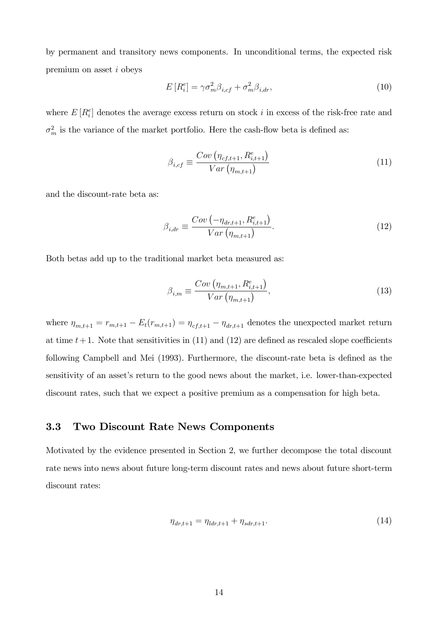by permanent and transitory news components. In unconditional terms, the expected risk premium on asset i obeys

$$
E\left[R_i^e\right] = \gamma \sigma_m^2 \beta_{i,cf} + \sigma_m^2 \beta_{i,dr},\tag{10}
$$

where  $E[R_i^e]$  denotes the average excess return on stock i in excess of the risk-free rate and  $\sigma_m^2$  is the variance of the market portfolio. Here the cash-flow beta is defined as:

$$
\beta_{i,cf} \equiv \frac{Cov\left(\eta_{cf,t+1}, R_{i,t+1}^e\right)}{Var\left(\eta_{m,t+1}\right)}\tag{11}
$$

and the discount-rate beta as:

$$
\beta_{i,dr} \equiv \frac{Cov(-\eta_{dr,t+1}, R_{i,t+1}^e)}{Var(\eta_{m,t+1})}.
$$
\n(12)

Both betas add up to the traditional market beta measured as:

$$
\beta_{i,m} \equiv \frac{Cov\left(\eta_{m,t+1}, R_{i,t+1}^e\right)}{Var\left(\eta_{m,t+1}\right)},\tag{13}
$$

where  $\eta_{m,t+1} = r_{m,t+1} - E_t(r_{m,t+1}) = \eta_{cf,t+1} - \eta_{dr,t+1}$  denotes the unexpected market return at time  $t+1$ . Note that sensitivities in (11) and (12) are defined as rescaled slope coefficients following Campbell and Mei (1993). Furthermore, the discount-rate beta is defined as the sensitivity of an asset's return to the good news about the market, i.e. lower-than-expected discount rates, such that we expect a positive premium as a compensation for high beta.

# 3.3 Two Discount Rate News Components

Motivated by the evidence presented in Section 2, we further decompose the total discount rate news into news about future long-term discount rates and news about future short-term discount rates:

$$
\eta_{dr,t+1} = \eta_{ldr,t+1} + \eta_{sdr,t+1}.\tag{14}
$$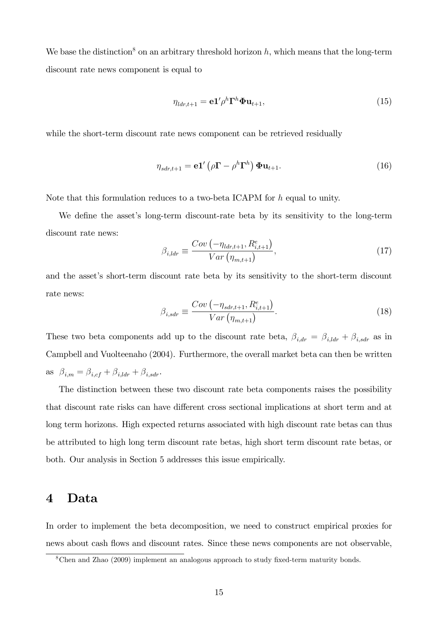We base the distinction<sup>8</sup> on an arbitrary threshold horizon  $h$ , which means that the long-term discount rate news component is equal to

$$
\eta_{ldr,t+1} = \mathbf{e} \mathbf{1}' \rho^h \mathbf{\Gamma}^h \mathbf{\Phi} \mathbf{u}_{t+1},\tag{15}
$$

while the short-term discount rate news component can be retrieved residually

$$
\eta_{sdr,t+1} = \mathbf{e} \mathbf{1}' \left( \rho \mathbf{\Gamma} - \rho^h \mathbf{\Gamma}^h \right) \mathbf{\Phi} \mathbf{u}_{t+1}.
$$
\n(16)

Note that this formulation reduces to a two-beta ICAPM for  $h$  equal to unity.

We define the asset's long-term discount-rate beta by its sensitivity to the long-term discount rate news:

$$
\beta_{i,lar} \equiv \frac{Cov(-\eta_{lar,t+1}, R_{i,t+1}^e)}{Var(\eta_{m,t+1})},\tag{17}
$$

and the asset's short-term discount rate beta by its sensitivity to the short-term discount rate news:

$$
\beta_{i, sdr} \equiv \frac{Cov(-\eta_{sdr, t+1}, R_{i, t+1}^e)}{Var(\eta_{m, t+1})}.
$$
\n(18)

These two beta components add up to the discount rate beta,  $\beta_{i,dr} = \beta_{i,ldr} + \beta_{i,sdr}$  as in Campbell and Vuolteenaho (2004). Furthermore, the overall market beta can then be written as  $\beta_{i,m} = \beta_{i,cf} + \beta_{i,ldr} + \beta_{i,sdr}$ .

The distinction between these two discount rate beta components raises the possibility that discount rate risks can have different cross sectional implications at short term and at long term horizons. High expected returns associated with high discount rate betas can thus be attributed to high long term discount rate betas, high short term discount rate betas, or both. Our analysis in Section 5 addresses this issue empirically.

# 4 Data

In order to implement the beta decomposition, we need to construct empirical proxies for news about cash flows and discount rates. Since these news components are not observable,

 $8$ Chen and Zhao (2009) implement an analogous approach to study fixed-term maturity bonds.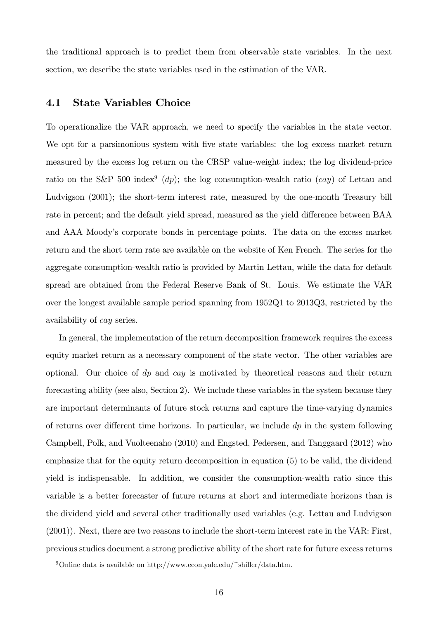the traditional approach is to predict them from observable state variables. In the next section, we describe the state variables used in the estimation of the VAR.

# 4.1 State Variables Choice

To operationalize the VAR approach, we need to specify the variables in the state vector. We opt for a parsimonious system with five state variables: the log excess market return measured by the excess log return on the CRSP value-weight index; the log dividend-price ratio on the S&P 500 index<sup>9</sup> (dp); the log consumption-wealth ratio (cay) of Lettau and Ludvigson (2001); the short-term interest rate, measured by the one-month Treasury bill rate in percent; and the default yield spread, measured as the yield difference between BAA and AAA Moodyís corporate bonds in percentage points. The data on the excess market return and the short term rate are available on the website of Ken French. The series for the aggregate consumption-wealth ratio is provided by Martin Lettau, while the data for default spread are obtained from the Federal Reserve Bank of St. Louis. We estimate the VAR over the longest available sample period spanning from 1952Q1 to 2013Q3, restricted by the availability of cay series.

In general, the implementation of the return decomposition framework requires the excess equity market return as a necessary component of the state vector. The other variables are optional. Our choice of  $dp$  and  $cay$  is motivated by theoretical reasons and their return forecasting ability (see also, Section 2). We include these variables in the system because they are important determinants of future stock returns and capture the time-varying dynamics of returns over different time horizons. In particular, we include  $dp$  in the system following Campbell, Polk, and Vuolteenaho (2010) and Engsted, Pedersen, and Tanggaard (2012) who emphasize that for the equity return decomposition in equation (5) to be valid, the dividend yield is indispensable. In addition, we consider the consumption-wealth ratio since this variable is a better forecaster of future returns at short and intermediate horizons than is the dividend yield and several other traditionally used variables (e.g. Lettau and Ludvigson (2001)). Next, there are two reasons to include the short-term interest rate in the VAR: First, previous studies document a strong predictive ability of the short rate for future excess returns

<sup>&</sup>lt;sup>9</sup>Online data is available on http://www.econ.yale.edu/~shiller/data.htm.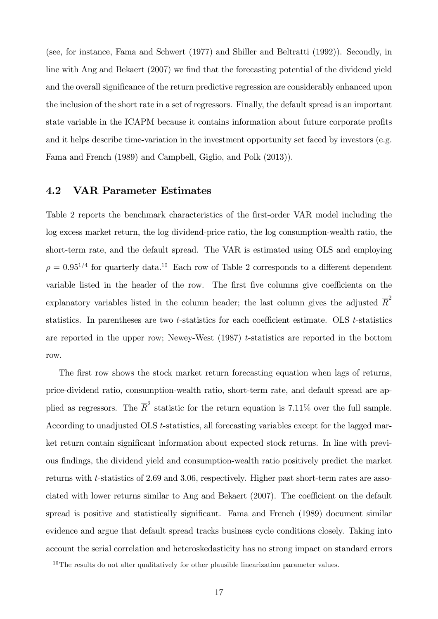(see, for instance, Fama and Schwert (1977) and Shiller and Beltratti (1992)). Secondly, in line with Ang and Bekaert (2007) we find that the forecasting potential of the dividend yield and the overall significance of the return predictive regression are considerably enhanced upon the inclusion of the short rate in a set of regressors. Finally, the default spread is an important state variable in the ICAPM because it contains information about future corporate profits and it helps describe time-variation in the investment opportunity set faced by investors (e.g. Fama and French (1989) and Campbell, Giglio, and Polk (2013)).

# 4.2 VAR Parameter Estimates

Table 2 reports the benchmark characteristics of the first-order VAR model including the log excess market return, the log dividend-price ratio, the log consumption-wealth ratio, the short-term rate, and the default spread. The VAR is estimated using OLS and employing  $\rho = 0.95^{1/4}$  for quarterly data.<sup>10</sup> Each row of Table 2 corresponds to a different dependent variable listed in the header of the row. The first five columns give coefficients on the explanatory variables listed in the column header; the last column gives the adjusted  $\overline{R}^2$ statistics. In parentheses are two  $t$ -statistics for each coefficient estimate. OLS  $t$ -statistics are reported in the upper row; Newey-West  $(1987)$  t-statistics are reported in the bottom row.

The first row shows the stock market return forecasting equation when lags of returns, price-dividend ratio, consumption-wealth ratio, short-term rate, and default spread are applied as regressors. The  $\overline{R}^2$  statistic for the return equation is 7.11% over the full sample. According to unadjusted OLS t-statistics, all forecasting variables except for the lagged market return contain significant information about expected stock returns. In line with previous findings, the dividend yield and consumption-wealth ratio positively predict the market returns with t-statistics of 2.69 and 3.06, respectively. Higher past short-term rates are associated with lower returns similar to Ang and Bekaert  $(2007)$ . The coefficient on the default spread is positive and statistically significant. Fama and French (1989) document similar evidence and argue that default spread tracks business cycle conditions closely. Taking into account the serial correlation and heteroskedasticity has no strong impact on standard errors

<sup>&</sup>lt;sup>10</sup>The results do not alter qualitatively for other plausible linearization parameter values.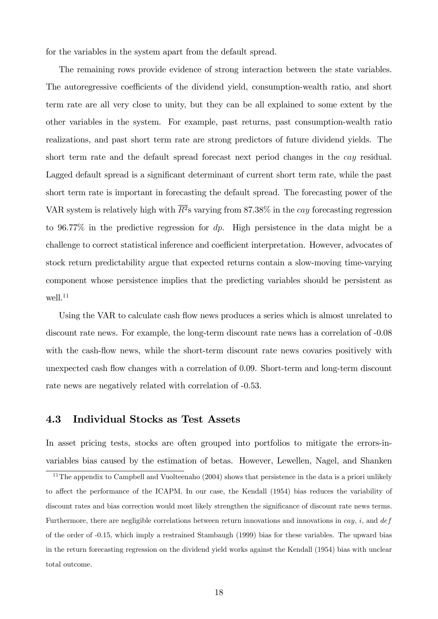for the variables in the system apart from the default spread.

The remaining rows provide evidence of strong interaction between the state variables. The autoregressive coefficients of the dividend yield, consumption-wealth ratio, and short term rate are all very close to unity, but they can be all explained to some extent by the other variables in the system. For example, past returns, past consumption-wealth ratio realizations, and past short term rate are strong predictors of future dividend yields. The short term rate and the default spread forecast next period changes in the cay residual. Lagged default spread is a significant determinant of current short term rate, while the past short term rate is important in forecasting the default spread. The forecasting power of the VAR system is relatively high with  $\overline{R^2}$ s varying from 87.38% in the cay forecasting regression to 96.77% in the predictive regression for dp. High persistence in the data might be a challenge to correct statistical inference and coefficient interpretation. However, advocates of stock return predictability argue that expected returns contain a slow-moving time-varying component whose persistence implies that the predicting variables should be persistent as well.<sup>11</sup>

Using the VAR to calculate cash flow news produces a series which is almost unrelated to discount rate news. For example, the long-term discount rate news has a correlation of -0.08 with the cash-flow news, while the short-term discount rate news covaries positively with unexpected cash flow changes with a correlation of 0.09. Short-term and long-term discount rate news are negatively related with correlation of -0.53.

# 4.3 Individual Stocks as Test Assets

In asset pricing tests, stocks are often grouped into portfolios to mitigate the errors-invariables bias caused by the estimation of betas. However, Lewellen, Nagel, and Shanken

 $11$ The appendix to Campbell and Vuolteenaho (2004) shows that persistence in the data is a priori unlikely to affect the performance of the ICAPM. In our case, the Kendall (1954) bias reduces the variability of discount rates and bias correction would most likely strengthen the significance of discount rate news terms. Furthermore, there are negligible correlations between return innovations and innovations in cay, i, and  $def$ of the order of -0.15, which imply a restrained Stambaugh (1999) bias for these variables. The upward bias in the return forecasting regression on the dividend yield works against the Kendall (1954) bias with unclear total outcome.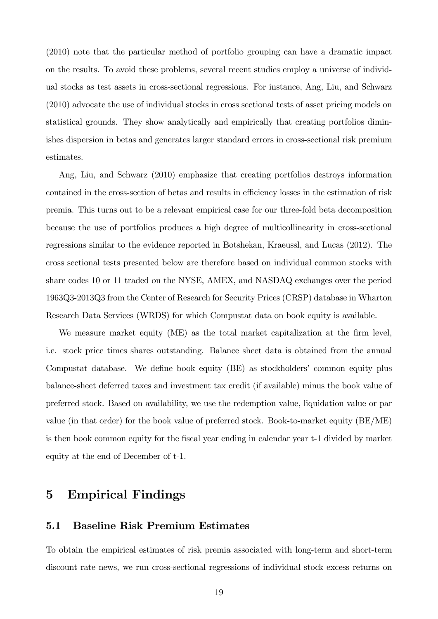(2010) note that the particular method of portfolio grouping can have a dramatic impact on the results. To avoid these problems, several recent studies employ a universe of individual stocks as test assets in cross-sectional regressions. For instance, Ang, Liu, and Schwarz (2010) advocate the use of individual stocks in cross sectional tests of asset pricing models on statistical grounds. They show analytically and empirically that creating portfolios diminishes dispersion in betas and generates larger standard errors in cross-sectional risk premium estimates.

Ang, Liu, and Schwarz (2010) emphasize that creating portfolios destroys information contained in the cross-section of betas and results in efficiency losses in the estimation of risk premia. This turns out to be a relevant empirical case for our three-fold beta decomposition because the use of portfolios produces a high degree of multicollinearity in cross-sectional regressions similar to the evidence reported in Botshekan, Kraeussl, and Lucas (2012). The cross sectional tests presented below are therefore based on individual common stocks with share codes 10 or 11 traded on the NYSE, AMEX, and NASDAQ exchanges over the period 1963Q3-2013Q3 from the Center of Research for Security Prices (CRSP) database in Wharton Research Data Services (WRDS) for which Compustat data on book equity is available.

We measure market equity (ME) as the total market capitalization at the firm level, i.e. stock price times shares outstanding. Balance sheet data is obtained from the annual Compustat database. We define book equity (BE) as stockholders' common equity plus balance-sheet deferred taxes and investment tax credit (if available) minus the book value of preferred stock. Based on availability, we use the redemption value, liquidation value or par value (in that order) for the book value of preferred stock. Book-to-market equity (BE/ME) is then book common equity for the Öscal year ending in calendar year t-1 divided by market equity at the end of December of t-1.

# 5 Empirical Findings

# 5.1 Baseline Risk Premium Estimates

To obtain the empirical estimates of risk premia associated with long-term and short-term discount rate news, we run cross-sectional regressions of individual stock excess returns on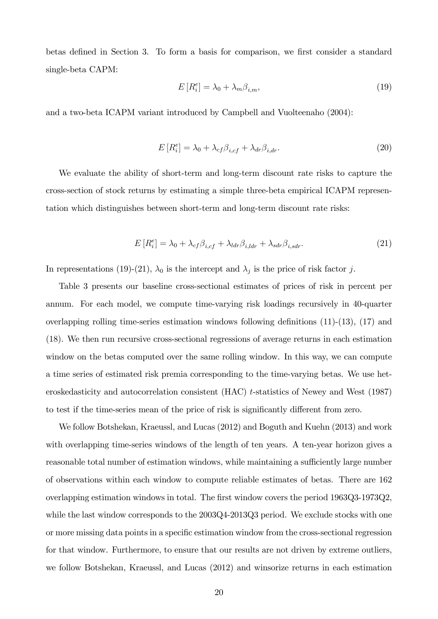betas defined in Section 3. To form a basis for comparison, we first consider a standard single-beta CAPM:

$$
E\left[R_i^e\right] = \lambda_0 + \lambda_m \beta_{i,m},\tag{19}
$$

and a two-beta ICAPM variant introduced by Campbell and Vuolteenaho (2004):

$$
E\left[R_i^e\right] = \lambda_0 + \lambda_{cf}\beta_{i,cf} + \lambda_{dr}\beta_{i,dr}.\tag{20}
$$

We evaluate the ability of short-term and long-term discount rate risks to capture the cross-section of stock returns by estimating a simple three-beta empirical ICAPM representation which distinguishes between short-term and long-term discount rate risks:

$$
E\left[R_i^e\right] = \lambda_0 + \lambda_{cf}\beta_{i,cf} + \lambda_{ldr}\beta_{i,ldr} + \lambda_{sdr}\beta_{i,sdr}.\tag{21}
$$

In representations (19)-(21),  $\lambda_0$  is the intercept and  $\lambda_j$  is the price of risk factor j.

Table 3 presents our baseline cross-sectional estimates of prices of risk in percent per annum. For each model, we compute time-varying risk loadings recursively in 40-quarter overlapping rolling time-series estimation windows following definitions  $(11)-(13)$ ,  $(17)$  and (18). We then run recursive cross-sectional regressions of average returns in each estimation window on the betas computed over the same rolling window. In this way, we can compute a time series of estimated risk premia corresponding to the time-varying betas. We use heteroskedasticity and autocorrelation consistent (HAC) t-statistics of Newey and West (1987) to test if the time-series mean of the price of risk is significantly different from zero.

We follow Botshekan, Kraeussl, and Lucas (2012) and Boguth and Kuehn (2013) and work with overlapping time-series windows of the length of ten years. A ten-year horizon gives a reasonable total number of estimation windows, while maintaining a sufficiently large number of observations within each window to compute reliable estimates of betas. There are 162 overlapping estimation windows in total. The first window covers the period 1963Q3-1973Q2, while the last window corresponds to the  $2003Q4-2013Q3$  period. We exclude stocks with one or more missing data points in a specific estimation window from the cross-sectional regression for that window. Furthermore, to ensure that our results are not driven by extreme outliers, we follow Botshekan, Kraeussl, and Lucas (2012) and winsorize returns in each estimation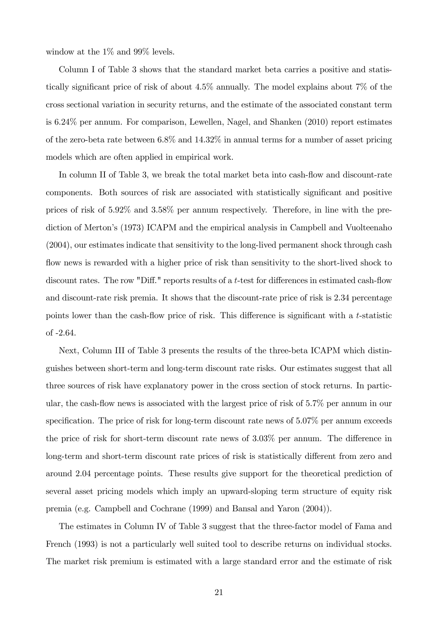window at the 1% and 99% levels.

Column I of Table 3 shows that the standard market beta carries a positive and statistically significant price of risk of about  $4.5\%$  annually. The model explains about 7% of the cross sectional variation in security returns, and the estimate of the associated constant term is 6.24% per annum. For comparison, Lewellen, Nagel, and Shanken (2010) report estimates of the zero-beta rate between 6.8% and 14.32% in annual terms for a number of asset pricing models which are often applied in empirical work.

In column II of Table 3, we break the total market beta into cash-flow and discount-rate components. Both sources of risk are associated with statistically significant and positive prices of risk of 5.92% and 3.58% per annum respectively. Therefore, in line with the prediction of Merton's (1973) ICAPM and the empirical analysis in Campbell and Vuolteenaho (2004), our estimates indicate that sensitivity to the long-lived permanent shock through cash flow news is rewarded with a higher price of risk than sensitivity to the short-lived shock to discount rates. The row "Diff." reports results of a  $t$ -test for differences in estimated cash-flow and discount-rate risk premia. It shows that the discount-rate price of risk is 2.34 percentage points lower than the cash-flow price of risk. This difference is significant with a  $t$ -statistic of -2.64.

Next, Column III of Table 3 presents the results of the three-beta ICAPM which distinguishes between short-term and long-term discount rate risks. Our estimates suggest that all three sources of risk have explanatory power in the cross section of stock returns. In particular, the cash-flow news is associated with the largest price of risk of  $5.7\%$  per annum in our specification. The price of risk for long-term discount rate news of  $5.07\%$  per annum exceeds the price of risk for short-term discount rate news of  $3.03\%$  per annum. The difference in long-term and short-term discount rate prices of risk is statistically different from zero and around 2.04 percentage points. These results give support for the theoretical prediction of several asset pricing models which imply an upward-sloping term structure of equity risk premia (e.g. Campbell and Cochrane (1999) and Bansal and Yaron (2004)).

The estimates in Column IV of Table 3 suggest that the three-factor model of Fama and French (1993) is not a particularly well suited tool to describe returns on individual stocks. The market risk premium is estimated with a large standard error and the estimate of risk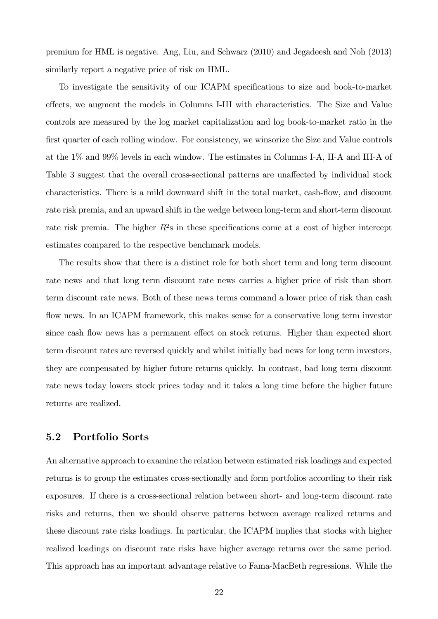premium for HML is negative. Ang, Liu, and Schwarz (2010) and Jegadeesh and Noh (2013) similarly report a negative price of risk on HML.

To investigate the sensitivity of our ICAPM specifications to size and book-to-market effects, we augment the models in Columns I-III with characteristics. The Size and Value controls are measured by the log market capitalization and log book-to-market ratio in the first quarter of each rolling window. For consistency, we winsorize the Size and Value controls at the 1% and 99% levels in each window. The estimates in Columns I-A, II-A and III-A of Table 3 suggest that the overall cross-sectional patterns are unaffected by individual stock characteristics. There is a mild downward shift in the total market, cash-flow, and discount rate risk premia, and an upward shift in the wedge between long-term and short-term discount rate risk premia. The higher  $\overline{R^2}$ s in these specifications come at a cost of higher intercept estimates compared to the respective benchmark models.

The results show that there is a distinct role for both short term and long term discount rate news and that long term discount rate news carries a higher price of risk than short term discount rate news. Both of these news terms command a lower price of risk than cash flow news. In an ICAPM framework, this makes sense for a conservative long term investor since cash flow news has a permanent effect on stock returns. Higher than expected short term discount rates are reversed quickly and whilst initially bad news for long term investors, they are compensated by higher future returns quickly. In contrast, bad long term discount rate news today lowers stock prices today and it takes a long time before the higher future returns are realized.

# 5.2 Portfolio Sorts

An alternative approach to examine the relation between estimated risk loadings and expected returns is to group the estimates cross-sectionally and form portfolios according to their risk exposures. If there is a cross-sectional relation between short- and long-term discount rate risks and returns, then we should observe patterns between average realized returns and these discount rate risks loadings. In particular, the ICAPM implies that stocks with higher realized loadings on discount rate risks have higher average returns over the same period. This approach has an important advantage relative to Fama-MacBeth regressions. While the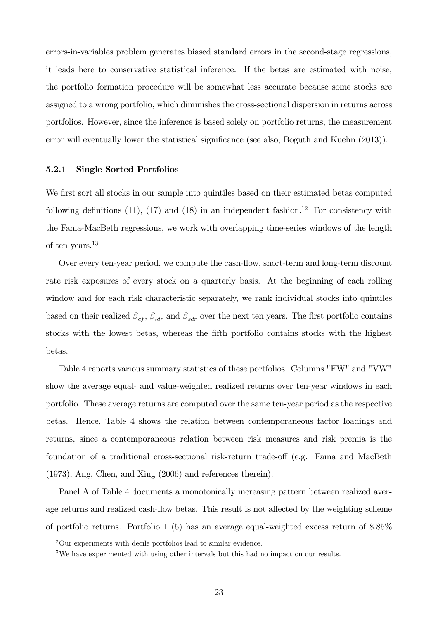errors-in-variables problem generates biased standard errors in the second-stage regressions, it leads here to conservative statistical inference. If the betas are estimated with noise, the portfolio formation procedure will be somewhat less accurate because some stocks are assigned to a wrong portfolio, which diminishes the cross-sectional dispersion in returns across portfolios. However, since the inference is based solely on portfolio returns, the measurement error will eventually lower the statistical significance (see also, Boguth and Kuehn (2013)).

#### 5.2.1 Single Sorted Portfolios

We first sort all stocks in our sample into quintiles based on their estimated betas computed following definitions (11), (17) and (18) in an independent fashion.<sup>12</sup> For consistency with the Fama-MacBeth regressions, we work with overlapping time-series windows of the length of ten years.<sup>13</sup>

Over every ten-year period, we compute the cash-flow, short-term and long-term discount rate risk exposures of every stock on a quarterly basis. At the beginning of each rolling window and for each risk characteristic separately, we rank individual stocks into quintiles based on their realized  $\beta_{cf}$ ,  $\beta_{ldr}$  and  $\beta_{sdr}$  over the next ten years. The first portfolio contains stocks with the lowest betas, whereas the fifth portfolio contains stocks with the highest betas.

Table 4 reports various summary statistics of these portfolios. Columns "EW" and "VW" show the average equal- and value-weighted realized returns over ten-year windows in each portfolio. These average returns are computed over the same ten-year period as the respective betas. Hence, Table 4 shows the relation between contemporaneous factor loadings and returns, since a contemporaneous relation between risk measures and risk premia is the foundation of a traditional cross-sectional risk-return trade-off (e.g. Fama and MacBeth (1973), Ang, Chen, and Xing (2006) and references therein).

Panel A of Table 4 documents a monotonically increasing pattern between realized average returns and realized cash-flow betas. This result is not affected by the weighting scheme of portfolio returns. Portfolio 1 (5) has an average equal-weighted excess return of 8.85%

<sup>12</sup>Our experiments with decile portfolios lead to similar evidence.

<sup>&</sup>lt;sup>13</sup>We have experimented with using other intervals but this had no impact on our results.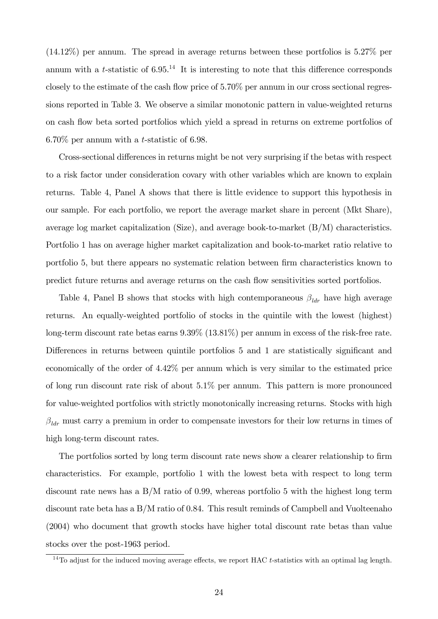(14.12%) per annum. The spread in average returns between these portfolios is 5.27% per annum with a t-statistic of  $6.95<sup>14</sup>$  It is interesting to note that this difference corresponds closely to the estimate of the cash flow price of  $5.70\%$  per annum in our cross sectional regressions reported in Table 3. We observe a similar monotonic pattern in value-weighted returns on cash áow beta sorted portfolios which yield a spread in returns on extreme portfolios of 6.70% per annum with a t-statistic of 6.98.

Cross-sectional differences in returns might be not very surprising if the betas with respect to a risk factor under consideration covary with other variables which are known to explain returns. Table 4, Panel A shows that there is little evidence to support this hypothesis in our sample. For each portfolio, we report the average market share in percent (Mkt Share), average log market capitalization (Size), and average book-to-market  $(B/M)$  characteristics. Portfolio 1 has on average higher market capitalization and book-to-market ratio relative to portfolio 5, but there appears no systematic relation between Örm characteristics known to predict future returns and average returns on the cash áow sensitivities sorted portfolios.

Table 4, Panel B shows that stocks with high contemporaneous  $\beta_{ldr}$  have high average returns. An equally-weighted portfolio of stocks in the quintile with the lowest (highest) long-term discount rate betas earns  $9.39\%$  (13.81%) per annum in excess of the risk-free rate. Differences in returns between quintile portfolios 5 and 1 are statistically significant and economically of the order of 4.42% per annum which is very similar to the estimated price of long run discount rate risk of about 5.1% per annum. This pattern is more pronounced for value-weighted portfolios with strictly monotonically increasing returns. Stocks with high  $\beta_{\text{Idr}}$  must carry a premium in order to compensate investors for their low returns in times of high long-term discount rates.

The portfolios sorted by long term discount rate news show a clearer relationship to firm characteristics. For example, portfolio 1 with the lowest beta with respect to long term discount rate news has a B/M ratio of 0.99, whereas portfolio 5 with the highest long term discount rate beta has a B/M ratio of 0.84. This result reminds of Campbell and Vuolteenaho (2004) who document that growth stocks have higher total discount rate betas than value stocks over the post-1963 period.

 $14$ To adjust for the induced moving average effects, we report HAC t-statistics with an optimal lag length.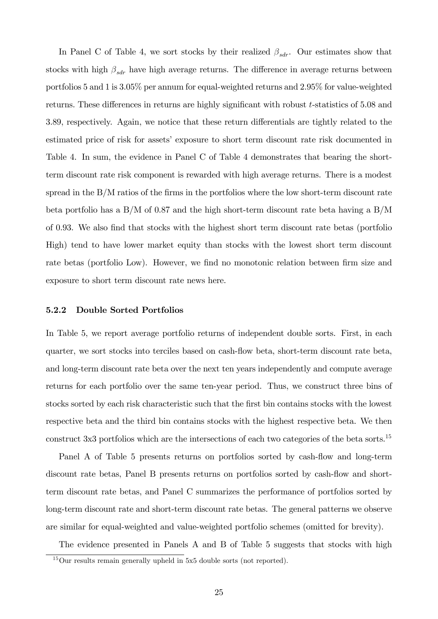In Panel C of Table 4, we sort stocks by their realized  $\beta_{sdr}$ . Our estimates show that stocks with high  $\beta_{sdr}$  have high average returns. The difference in average returns between portfolios 5 and 1 is 3.05% per annum for equal-weighted returns and 2.95% for value-weighted returns. These differences in returns are highly significant with robust  $t$ -statistics of  $5.08$  and 3.89, respectively. Again, we notice that these return differentials are tightly related to the estimated price of risk for assets' exposure to short term discount rate risk documented in Table 4. In sum, the evidence in Panel C of Table 4 demonstrates that bearing the shortterm discount rate risk component is rewarded with high average returns. There is a modest spread in the  $B/M$  ratios of the firms in the portfolios where the low short-term discount rate beta portfolio has a B/M of 0.87 and the high short-term discount rate beta having a B/M of 0.93. We also Önd that stocks with the highest short term discount rate betas (portfolio High) tend to have lower market equity than stocks with the lowest short term discount rate betas (portfolio Low). However, we find no monotonic relation between firm size and exposure to short term discount rate news here.

### 5.2.2 Double Sorted Portfolios

In Table 5, we report average portfolio returns of independent double sorts. First, in each quarter, we sort stocks into terciles based on cash-áow beta, short-term discount rate beta, and long-term discount rate beta over the next ten years independently and compute average returns for each portfolio over the same ten-year period. Thus, we construct three bins of stocks sorted by each risk characteristic such that the Örst bin contains stocks with the lowest respective beta and the third bin contains stocks with the highest respective beta. We then construct 3x3 portfolios which are the intersections of each two categories of the beta sorts.<sup>15</sup>

Panel A of Table 5 presents returns on portfolios sorted by cash-flow and long-term discount rate betas, Panel B presents returns on portfolios sorted by cash-flow and shortterm discount rate betas, and Panel C summarizes the performance of portfolios sorted by long-term discount rate and short-term discount rate betas. The general patterns we observe are similar for equal-weighted and value-weighted portfolio schemes (omitted for brevity).

The evidence presented in Panels A and B of Table 5 suggests that stocks with high

<sup>15</sup>Our results remain generally upheld in 5x5 double sorts (not reported).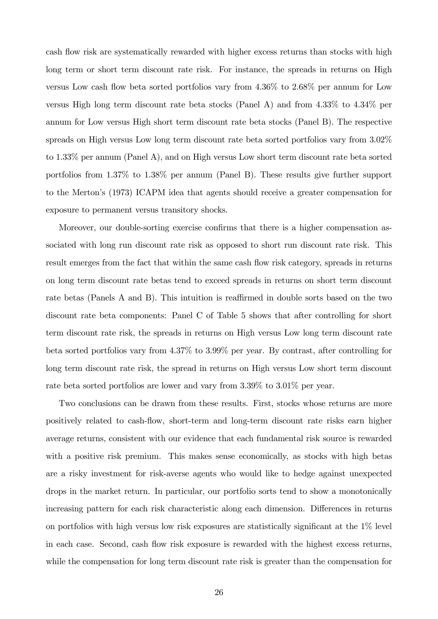cash flow risk are systematically rewarded with higher excess returns than stocks with high long term or short term discount rate risk. For instance, the spreads in returns on High versus Low cash flow beta sorted portfolios vary from  $4.36\%$  to  $2.68\%$  per annum for Low versus High long term discount rate beta stocks (Panel A) and from 4.33% to 4.34% per annum for Low versus High short term discount rate beta stocks (Panel B). The respective spreads on High versus Low long term discount rate beta sorted portfolios vary from 3.02% to 1.33% per annum (Panel A), and on High versus Low short term discount rate beta sorted portfolios from 1.37% to 1.38% per annum (Panel B). These results give further support to the Mertonís (1973) ICAPM idea that agents should receive a greater compensation for exposure to permanent versus transitory shocks.

Moreover, our double-sorting exercise confirms that there is a higher compensation associated with long run discount rate risk as opposed to short run discount rate risk. This result emerges from the fact that within the same cash flow risk category, spreads in returns on long term discount rate betas tend to exceed spreads in returns on short term discount rate betas (Panels A and B). This intuition is reaffirmed in double sorts based on the two discount rate beta components: Panel C of Table 5 shows that after controlling for short term discount rate risk, the spreads in returns on High versus Low long term discount rate beta sorted portfolios vary from 4.37% to 3.99% per year. By contrast, after controlling for long term discount rate risk, the spread in returns on High versus Low short term discount rate beta sorted portfolios are lower and vary from 3.39% to 3.01% per year.

Two conclusions can be drawn from these results. First, stocks whose returns are more positively related to cash-áow, short-term and long-term discount rate risks earn higher average returns, consistent with our evidence that each fundamental risk source is rewarded with a positive risk premium. This makes sense economically, as stocks with high betas are a risky investment for risk-averse agents who would like to hedge against unexpected drops in the market return. In particular, our portfolio sorts tend to show a monotonically increasing pattern for each risk characteristic along each dimension. Differences in returns on portfolios with high versus low risk exposures are statistically significant at the  $1\%$  level in each case. Second, cash flow risk exposure is rewarded with the highest excess returns. while the compensation for long term discount rate risk is greater than the compensation for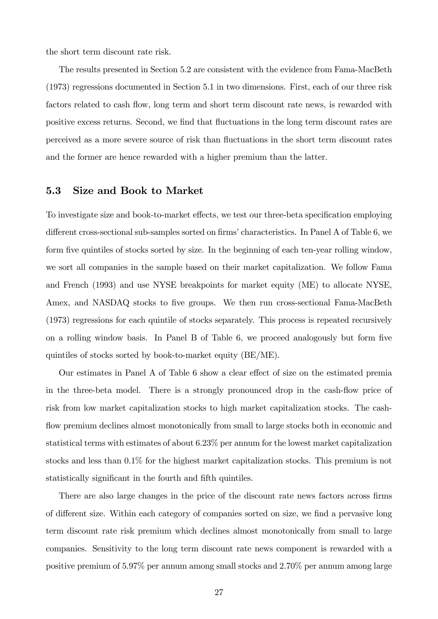the short term discount rate risk.

The results presented in Section 5.2 are consistent with the evidence from Fama-MacBeth (1973) regressions documented in Section 5.1 in two dimensions. First, each of our three risk factors related to cash flow, long term and short term discount rate news, is rewarded with positive excess returns. Second, we find that fluctuations in the long term discount rates are perceived as a more severe source of risk than fluctuations in the short term discount rates and the former are hence rewarded with a higher premium than the latter.

# 5.3 Size and Book to Market

To investigate size and book-to-market effects, we test our three-beta specification employing different cross-sectional sub-samples sorted on firms' characteristics. In Panel A of Table 6, we form five quintiles of stocks sorted by size. In the beginning of each ten-year rolling window, we sort all companies in the sample based on their market capitalization. We follow Fama and French (1993) and use NYSE breakpoints for market equity (ME) to allocate NYSE, Amex, and NASDAQ stocks to five groups. We then run cross-sectional Fama-MacBeth (1973) regressions for each quintile of stocks separately. This process is repeated recursively on a rolling window basis. In Panel B of Table 6, we proceed analogously but form five quintiles of stocks sorted by book-to-market equity (BE/ME).

Our estimates in Panel A of Table 6 show a clear effect of size on the estimated premia in the three-beta model. There is a strongly pronounced drop in the cash-flow price of risk from low market capitalization stocks to high market capitalization stocks. The cashflow premium declines almost monotonically from small to large stocks both in economic and statistical terms with estimates of about 6.23% per annum for the lowest market capitalization stocks and less than 0.1% for the highest market capitalization stocks. This premium is not statistically significant in the fourth and fifth quintiles.

There are also large changes in the price of the discount rate news factors across firms of different size. Within each category of companies sorted on size, we find a pervasive long term discount rate risk premium which declines almost monotonically from small to large companies. Sensitivity to the long term discount rate news component is rewarded with a positive premium of 5.97% per annum among small stocks and 2.70% per annum among large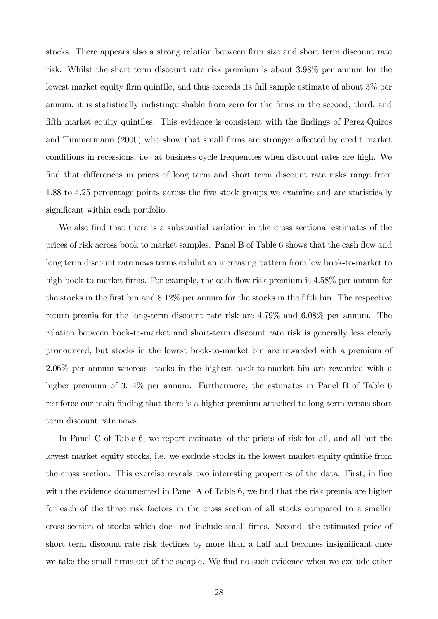stocks. There appears also a strong relation between firm size and short term discount rate risk. Whilst the short term discount rate risk premium is about 3.98% per annum for the lowest market equity firm quintile, and thus exceeds its full sample estimate of about  $3\%$  per annum, it is statistically indistinguishable from zero for the firms in the second, third, and fifth market equity quintiles. This evidence is consistent with the findings of Perez-Quiros and Timmermann (2000) who show that small firms are stronger affected by credit market conditions in recessions, i.e. at business cycle frequencies when discount rates are high. We find that differences in prices of long term and short term discount rate risks range from 1.88 to 4.25 percentage points across the Öve stock groups we examine and are statistically significant within each portfolio.

We also find that there is a substantial variation in the cross sectional estimates of the prices of risk across book to market samples. Panel B of Table 6 shows that the cash flow and long term discount rate news terms exhibit an increasing pattern from low book-to-market to high book-to-market firms. For example, the cash flow risk premium is 4.58% per annum for the stocks in the first bin and  $8.12\%$  per annum for the stocks in the fifth bin. The respective return premia for the long-term discount rate risk are 4.79% and 6.08% per annum. The relation between book-to-market and short-term discount rate risk is generally less clearly pronounced, but stocks in the lowest book-to-market bin are rewarded with a premium of 2.06% per annum whereas stocks in the highest book-to-market bin are rewarded with a higher premium of  $3.14\%$  per annum. Furthermore, the estimates in Panel B of Table 6 reinforce our main finding that there is a higher premium attached to long term versus short term discount rate news.

In Panel C of Table 6, we report estimates of the prices of risk for all, and all but the lowest market equity stocks, i.e. we exclude stocks in the lowest market equity quintile from the cross section. This exercise reveals two interesting properties of the data. First, in line with the evidence documented in Panel A of Table 6, we find that the risk premia are higher for each of the three risk factors in the cross section of all stocks compared to a smaller cross section of stocks which does not include small Örms. Second, the estimated price of short term discount rate risk declines by more than a half and becomes insignificant once we take the small firms out of the sample. We find no such evidence when we exclude other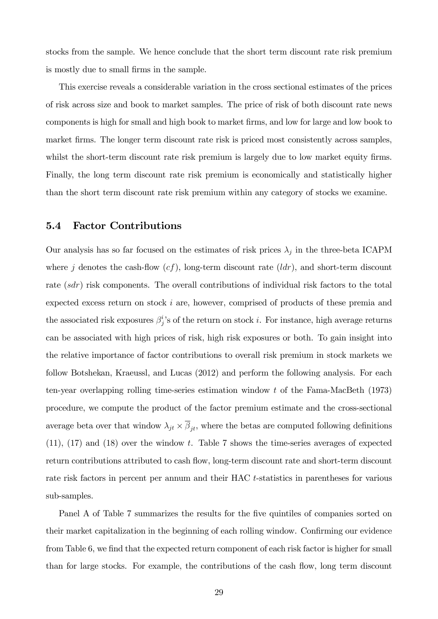stocks from the sample. We hence conclude that the short term discount rate risk premium is mostly due to small Örms in the sample.

This exercise reveals a considerable variation in the cross sectional estimates of the prices of risk across size and book to market samples. The price of risk of both discount rate news components is high for small and high book to market Örms, and low for large and low book to market firms. The longer term discount rate risk is priced most consistently across samples, whilst the short-term discount rate risk premium is largely due to low market equity firms. Finally, the long term discount rate risk premium is economically and statistically higher than the short term discount rate risk premium within any category of stocks we examine.

# 5.4 Factor Contributions

Our analysis has so far focused on the estimates of risk prices  $\lambda_j$  in the three-beta ICAPM where j denotes the cash-flow  $(cf)$ , long-term discount rate  $(ldr)$ , and short-term discount rate (sdr) risk components. The overall contributions of individual risk factors to the total expected excess return on stock i are, however, comprised of products of these premia and the associated risk exposures  $\beta_j^i$ 's of the return on stock *i*. For instance, high average returns can be associated with high prices of risk, high risk exposures or both. To gain insight into the relative importance of factor contributions to overall risk premium in stock markets we follow Botshekan, Kraeussl, and Lucas (2012) and perform the following analysis. For each ten-year overlapping rolling time-series estimation window t of the Fama-MacBeth (1973) procedure, we compute the product of the factor premium estimate and the cross-sectional average beta over that window  $\lambda_{jt} \times \beta_{jt}$ , where the betas are computed following definitions  $(11)$ ,  $(17)$  and  $(18)$  over the window t. Table 7 shows the time-series averages of expected return contributions attributed to cash flow, long-term discount rate and short-term discount rate risk factors in percent per annum and their HAC t-statistics in parentheses for various sub-samples.

Panel A of Table 7 summarizes the results for the five quintiles of companies sorted on their market capitalization in the beginning of each rolling window. Confirming our evidence from Table 6, we find that the expected return component of each risk factor is higher for small than for large stocks. For example, the contributions of the cash flow, long term discount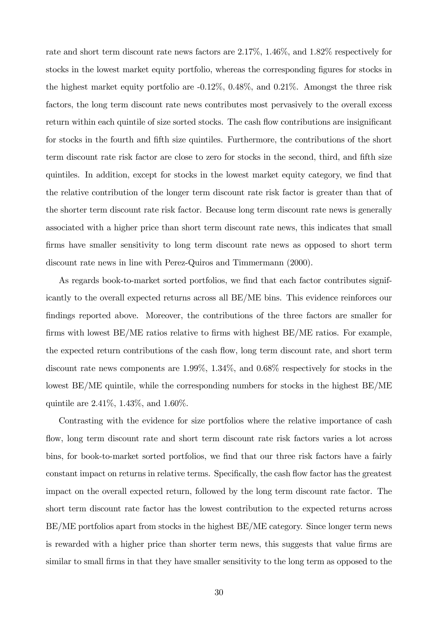rate and short term discount rate news factors are 2.17%, 1.46%, and 1.82% respectively for stocks in the lowest market equity portfolio, whereas the corresponding figures for stocks in the highest market equity portfolio are -0.12%, 0.48%, and 0.21%. Amongst the three risk factors, the long term discount rate news contributes most pervasively to the overall excess return within each quintile of size sorted stocks. The cash flow contributions are insignificant for stocks in the fourth and fifth size quintiles. Furthermore, the contributions of the short term discount rate risk factor are close to zero for stocks in the second, third, and fifth size quintiles. In addition, except for stocks in the lowest market equity category, we Önd that the relative contribution of the longer term discount rate risk factor is greater than that of the shorter term discount rate risk factor. Because long term discount rate news is generally associated with a higher price than short term discount rate news, this indicates that small firms have smaller sensitivity to long term discount rate news as opposed to short term discount rate news in line with Perez-Quiros and Timmermann (2000).

As regards book-to-market sorted portfolios, we find that each factor contributes significantly to the overall expected returns across all BE/ME bins. This evidence reinforces our findings reported above. Moreover, the contributions of the three factors are smaller for firms with lowest  $BE/ME$  ratios relative to firms with highest  $BE/ME$  ratios. For example, the expected return contributions of the cash flow, long term discount rate, and short term discount rate news components are 1.99%, 1.34%, and 0.68% respectively for stocks in the lowest BE/ME quintile, while the corresponding numbers for stocks in the highest BE/ME quintile are 2.41%, 1.43%, and 1.60%.

Contrasting with the evidence for size portfolios where the relative importance of cash flow, long term discount rate and short term discount rate risk factors varies a lot across bins, for book-to-market sorted portfolios, we find that our three risk factors have a fairly constant impact on returns in relative terms. Specifically, the cash flow factor has the greatest impact on the overall expected return, followed by the long term discount rate factor. The short term discount rate factor has the lowest contribution to the expected returns across BE/ME portfolios apart from stocks in the highest BE/ME category. Since longer term news is rewarded with a higher price than shorter term news, this suggests that value firms are similar to small firms in that they have smaller sensitivity to the long term as opposed to the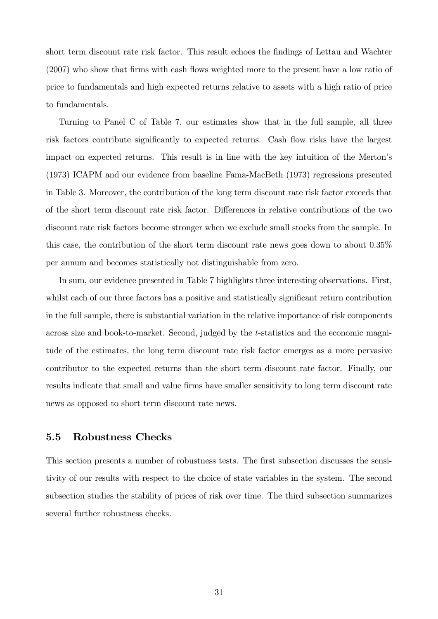short term discount rate risk factor. This result echoes the findings of Lettau and Wachter  $(2007)$  who show that firms with cash flows weighted more to the present have a low ratio of price to fundamentals and high expected returns relative to assets with a high ratio of price to fundamentals.

Turning to Panel C of Table 7, our estimates show that in the full sample, all three risk factors contribute significantly to expected returns. Cash flow risks have the largest impact on expected returns. This result is in line with the key intuition of the Mertonís (1973) ICAPM and our evidence from baseline Fama-MacBeth (1973) regressions presented in Table 3. Moreover, the contribution of the long term discount rate risk factor exceeds that of the short term discount rate risk factor. Differences in relative contributions of the two discount rate risk factors become stronger when we exclude small stocks from the sample. In this case, the contribution of the short term discount rate news goes down to about 0.35% per annum and becomes statistically not distinguishable from zero.

In sum, our evidence presented in Table 7 highlights three interesting observations. First, whilst each of our three factors has a positive and statistically significant return contribution in the full sample, there is substantial variation in the relative importance of risk components across size and book-to-market. Second, judged by the t-statistics and the economic magnitude of the estimates, the long term discount rate risk factor emerges as a more pervasive contributor to the expected returns than the short term discount rate factor. Finally, our results indicate that small and value firms have smaller sensitivity to long term discount rate news as opposed to short term discount rate news.

# 5.5 Robustness Checks

This section presents a number of robustness tests. The first subsection discusses the sensitivity of our results with respect to the choice of state variables in the system. The second subsection studies the stability of prices of risk over time. The third subsection summarizes several further robustness checks.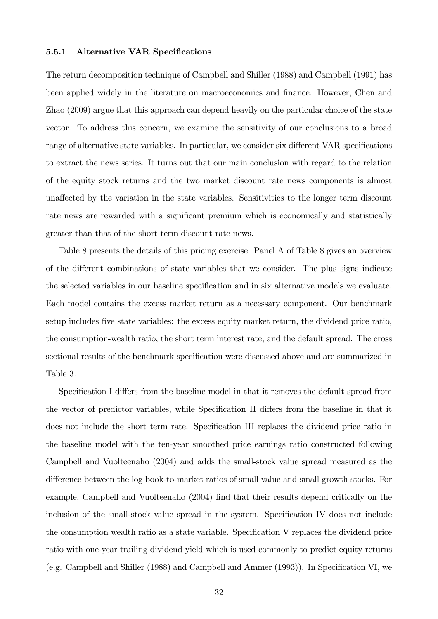#### 5.5.1 Alternative VAR Specifications

The return decomposition technique of Campbell and Shiller (1988) and Campbell (1991) has been applied widely in the literature on macroeconomics and finance. However, Chen and Zhao (2009) argue that this approach can depend heavily on the particular choice of the state vector. To address this concern, we examine the sensitivity of our conclusions to a broad range of alternative state variables. In particular, we consider six different VAR specifications to extract the news series. It turns out that our main conclusion with regard to the relation of the equity stock returns and the two market discount rate news components is almost una§ected by the variation in the state variables. Sensitivities to the longer term discount rate news are rewarded with a significant premium which is economically and statistically greater than that of the short term discount rate news.

Table 8 presents the details of this pricing exercise. Panel A of Table 8 gives an overview of the different combinations of state variables that we consider. The plus signs indicate the selected variables in our baseline specification and in six alternative models we evaluate. Each model contains the excess market return as a necessary component. Our benchmark setup includes Öve state variables: the excess equity market return, the dividend price ratio, the consumption-wealth ratio, the short term interest rate, and the default spread. The cross sectional results of the benchmark specification were discussed above and are summarized in Table 3.

Specification I differs from the baseline model in that it removes the default spread from the vector of predictor variables, while Specification II differs from the baseline in that it does not include the short term rate. Specification III replaces the dividend price ratio in the baseline model with the ten-year smoothed price earnings ratio constructed following Campbell and Vuolteenaho (2004) and adds the small-stock value spread measured as the difference between the log book-to-market ratios of small value and small growth stocks. For example, Campbell and Vuolteenaho (2004) find that their results depend critically on the inclusion of the small-stock value spread in the system. Specification IV does not include the consumption wealth ratio as a state variable. Specification V replaces the dividend price ratio with one-year trailing dividend yield which is used commonly to predict equity returns (e.g. Campbell and Shiller  $(1988)$  and Campbell and Ammer  $(1993)$ ). In Specification VI, we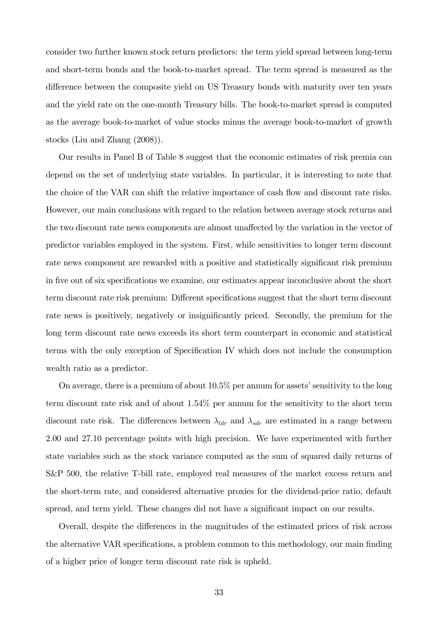consider two further known stock return predictors: the term yield spread between long-term and short-term bonds and the book-to-market spread. The term spread is measured as the difference between the composite yield on US Treasury bonds with maturity over ten years and the yield rate on the one-month Treasury bills. The book-to-market spread is computed as the average book-to-market of value stocks minus the average book-to-market of growth stocks (Liu and Zhang (2008)).

Our results in Panel B of Table 8 suggest that the economic estimates of risk premia can depend on the set of underlying state variables. In particular, it is interesting to note that the choice of the VAR can shift the relative importance of cash flow and discount rate risks. However, our main conclusions with regard to the relation between average stock returns and the two discount rate news components are almost unaffected by the variation in the vector of predictor variables employed in the system. First, while sensitivities to longer term discount rate news component are rewarded with a positive and statistically significant risk premium in five out of six specifications we examine, our estimates appear inconclusive about the short term discount rate risk premium: Different specifications suggest that the short term discount rate news is positively, negatively or insignificantly priced. Secondly, the premium for the long term discount rate news exceeds its short term counterpart in economic and statistical terms with the only exception of Specification IV which does not include the consumption wealth ratio as a predictor.

On average, there is a premium of about  $10.5\%$  per annum for assets' sensitivity to the long term discount rate risk and of about 1.54% per annum for the sensitivity to the short term discount rate risk. The differences between  $\lambda_{ldr}$  and  $\lambda_{sdr}$  are estimated in a range between 2.00 and 27.10 percentage points with high precision. We have experimented with further state variables such as the stock variance computed as the sum of squared daily returns of S&P 500, the relative T-bill rate, employed real measures of the market excess return and the short-term rate, and considered alternative proxies for the dividend-price ratio, default spread, and term yield. These changes did not have a significant impact on our results.

Overall, despite the differences in the magnitudes of the estimated prices of risk across the alternative VAR specifications, a problem common to this methodology, our main finding of a higher price of longer term discount rate risk is upheld.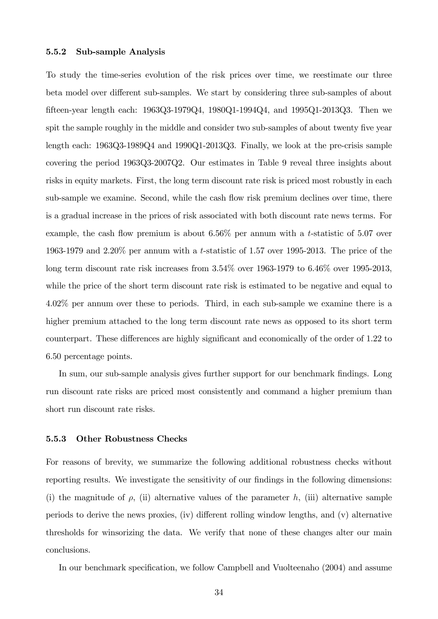#### 5.5.2 Sub-sample Analysis

To study the time-series evolution of the risk prices over time, we reestimate our three beta model over different sub-samples. We start by considering three sub-samples of about Öfteen-year length each: 1963Q3-1979Q4, 1980Q1-1994Q4, and 1995Q1-2013Q3. Then we spit the sample roughly in the middle and consider two sub-samples of about twenty five year length each: 1963Q3-1989Q4 and 1990Q1-2013Q3. Finally, we look at the pre-crisis sample covering the period 1963Q3-2007Q2. Our estimates in Table 9 reveal three insights about risks in equity markets. First, the long term discount rate risk is priced most robustly in each sub-sample we examine. Second, while the cash flow risk premium declines over time, there is a gradual increase in the prices of risk associated with both discount rate news terms. For example, the cash flow premium is about  $6.56\%$  per annum with a t-statistic of 5.07 over 1963-1979 and 2.20% per annum with a t-statistic of 1.57 over 1995-2013. The price of the long term discount rate risk increases from 3.54% over 1963-1979 to 6.46% over 1995-2013, while the price of the short term discount rate risk is estimated to be negative and equal to 4.02% per annum over these to periods. Third, in each sub-sample we examine there is a higher premium attached to the long term discount rate news as opposed to its short term counterpart. These differences are highly significant and economically of the order of 1.22 to 6.50 percentage points.

In sum, our sub-sample analysis gives further support for our benchmark findings. Long run discount rate risks are priced most consistently and command a higher premium than short run discount rate risks.

#### 5.5.3 Other Robustness Checks

For reasons of brevity, we summarize the following additional robustness checks without reporting results. We investigate the sensitivity of our findings in the following dimensions: (i) the magnitude of  $\rho$ , (ii) alternative values of the parameter h, (iii) alternative sample periods to derive the news proxies, (iv) different rolling window lengths, and  $(v)$  alternative thresholds for winsorizing the data. We verify that none of these changes alter our main conclusions.

In our benchmark specification, we follow Campbell and Vuolteenaho (2004) and assume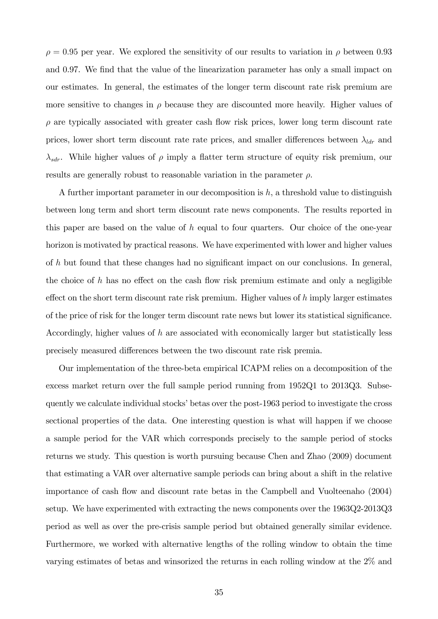$\rho = 0.95$  per year. We explored the sensitivity of our results to variation in  $\rho$  between 0.93 and 0.97. We find that the value of the linearization parameter has only a small impact on our estimates. In general, the estimates of the longer term discount rate risk premium are more sensitive to changes in  $\rho$  because they are discounted more heavily. Higher values of  $\rho$  are typically associated with greater cash flow risk prices, lower long term discount rate prices, lower short term discount rate rate prices, and smaller differences between  $\lambda_{ldr}$  and  $\lambda_{sdr}$ . While higher values of  $\rho$  imply a flatter term structure of equity risk premium, our results are generally robust to reasonable variation in the parameter  $\rho$ .

A further important parameter in our decomposition is  $h$ , a threshold value to distinguish between long term and short term discount rate news components. The results reported in this paper are based on the value of  $h$  equal to four quarters. Our choice of the one-year horizon is motivated by practical reasons. We have experimented with lower and higher values of  $h$  but found that these changes had no significant impact on our conclusions. In general, the choice of h has no effect on the cash flow risk premium estimate and only a negligible effect on the short term discount rate risk premium. Higher values of  $h$  imply larger estimates of the price of risk for the longer term discount rate news but lower its statistical significance. Accordingly, higher values of h are associated with economically larger but statistically less precisely measured differences between the two discount rate risk premia.

Our implementation of the three-beta empirical ICAPM relies on a decomposition of the excess market return over the full sample period running from 1952Q1 to 2013Q3. Subsequently we calculate individual stocks' betas over the post-1963 period to investigate the cross sectional properties of the data. One interesting question is what will happen if we choose a sample period for the VAR which corresponds precisely to the sample period of stocks returns we study. This question is worth pursuing because Chen and Zhao (2009) document that estimating a VAR over alternative sample periods can bring about a shift in the relative importance of cash flow and discount rate betas in the Campbell and Vuolteenaho (2004) setup. We have experimented with extracting the news components over the 1963Q2-2013Q3 period as well as over the pre-crisis sample period but obtained generally similar evidence. Furthermore, we worked with alternative lengths of the rolling window to obtain the time varying estimates of betas and winsorized the returns in each rolling window at the 2% and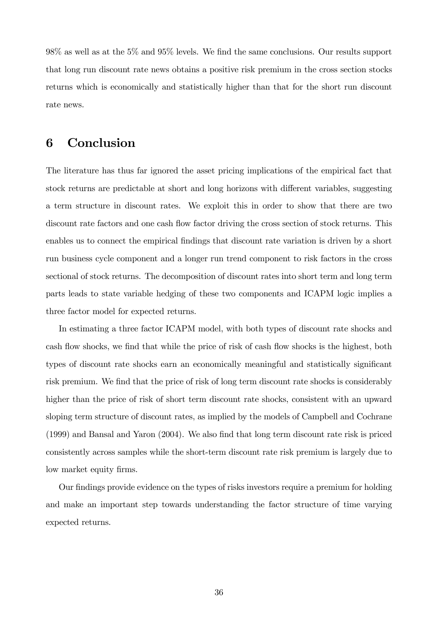$98\%$  as well as at the  $5\%$  and  $95\%$  levels. We find the same conclusions. Our results support that long run discount rate news obtains a positive risk premium in the cross section stocks returns which is economically and statistically higher than that for the short run discount rate news.

# 6 Conclusion

The literature has thus far ignored the asset pricing implications of the empirical fact that stock returns are predictable at short and long horizons with different variables, suggesting a term structure in discount rates. We exploit this in order to show that there are two discount rate factors and one cash flow factor driving the cross section of stock returns. This enables us to connect the empirical findings that discount rate variation is driven by a short run business cycle component and a longer run trend component to risk factors in the cross sectional of stock returns. The decomposition of discount rates into short term and long term parts leads to state variable hedging of these two components and ICAPM logic implies a three factor model for expected returns.

In estimating a three factor ICAPM model, with both types of discount rate shocks and cash flow shocks, we find that while the price of risk of cash flow shocks is the highest, both types of discount rate shocks earn an economically meaningful and statistically significant risk premium. We find that the price of risk of long term discount rate shocks is considerably higher than the price of risk of short term discount rate shocks, consistent with an upward sloping term structure of discount rates, as implied by the models of Campbell and Cochrane (1999) and Bansal and Yaron (2004). We also Önd that long term discount rate risk is priced consistently across samples while the short-term discount rate risk premium is largely due to low market equity firms.

Our findings provide evidence on the types of risks investors require a premium for holding and make an important step towards understanding the factor structure of time varying expected returns.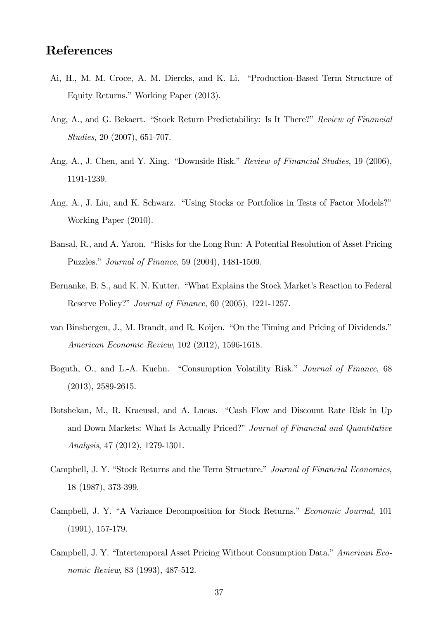# References

- Ai, H., M. M. Croce, A. M. Diercks, and K. Li. "Production-Based Term Structure of Equity Returns." Working Paper (2013).
- Ang, A., and G. Bekaert. "Stock Return Predictability: Is It There?" Review of Financial Studies, 20 (2007), 651-707.
- Ang, A., J. Chen, and Y. Xing. "Downside Risk." Review of Financial Studies, 19 (2006), 1191-1239.
- Ang, A., J. Liu, and K. Schwarz. "Using Stocks or Portfolios in Tests of Factor Models?" Working Paper (2010).
- Bansal, R., and A. Yaron. "Risks for the Long Run: A Potential Resolution of Asset Pricing Puzzles." *Journal of Finance*, 59 (2004), 1481-1509.
- Bernanke, B. S., and K. N. Kutter. "What Explains the Stock Market's Reaction to Federal Reserve Policy?" *Journal of Finance*, 60 (2005), 1221-1257.
- van Binsbergen, J., M. Brandt, and R. Koijen. "On the Timing and Pricing of Dividends." American Economic Review, 102 (2012), 1596-1618.
- Boguth, O., and L.-A. Kuehn. "Consumption Volatility Risk." Journal of Finance, 68 (2013), 2589-2615.
- Botshekan, M., R. Kraeussl, and A. Lucas. "Cash Flow and Discount Rate Risk in Up and Down Markets: What Is Actually Priced?" Journal of Financial and Quantitative Analysis, 47 (2012), 1279-1301.
- Campbell, J. Y. "Stock Returns and the Term Structure." Journal of Financial Economics, 18 (1987), 373-399.
- Campbell, J. Y. "A Variance Decomposition for Stock Returns." Economic Journal, 101 (1991), 157-179.
- Campbell, J. Y. "Intertemporal Asset Pricing Without Consumption Data." American Economic Review, 83 (1993), 487-512.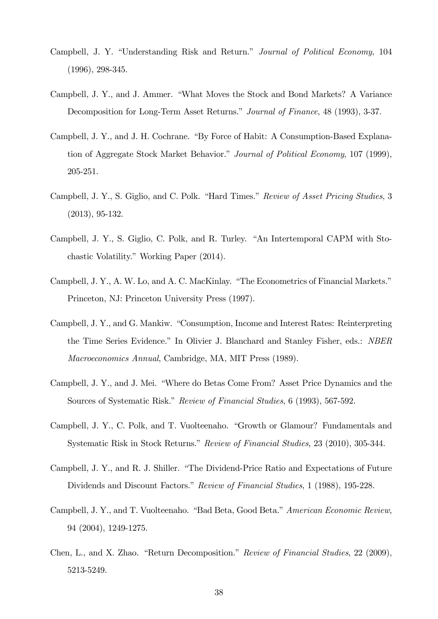- Campbell, J. Y. "Understanding Risk and Return." *Journal of Political Economy*, 104 (1996), 298-345.
- Campbell, J. Y., and J. Ammer. "What Moves the Stock and Bond Markets? A Variance Decomposition for Long-Term Asset Returns." Journal of Finance, 48 (1993), 3-37.
- Campbell, J. Y., and J. H. Cochrane. "By Force of Habit: A Consumption-Based Explanation of Aggregate Stock Market Behavior." Journal of Political Economy, 107 (1999), 205-251.
- Campbell, J. Y., S. Giglio, and C. Polk. "Hard Times." Review of Asset Pricing Studies, 3 (2013), 95-132.
- Campbell, J. Y., S. Giglio, C. Polk, and R. Turley. "An Intertemporal CAPM with Stochastic Volatility." Working Paper (2014).
- Campbell, J. Y., A. W. Lo, and A. C. MacKinlay. "The Econometrics of Financial Markets." Princeton, NJ: Princeton University Press (1997).
- Campbell, J. Y., and G. Mankiw. "Consumption, Income and Interest Rates: Reinterpreting the Time Series Evidence." In Olivier J. Blanchard and Stanley Fisher, eds.: NBER Macroeconomics Annual, Cambridge, MA, MIT Press (1989).
- Campbell, J. Y., and J. Mei. "Where do Betas Come From? Asset Price Dynamics and the Sources of Systematic Risk." Review of Financial Studies, 6 (1993), 567-592.
- Campbell, J. Y., C. Polk, and T. Vuolteenaho. "Growth or Glamour? Fundamentals and Systematic Risk in Stock Returns." Review of Financial Studies, 23 (2010), 305-344.
- Campbell, J. Y., and R. J. Shiller. "The Dividend-Price Ratio and Expectations of Future Dividends and Discount Factors." Review of Financial Studies, 1 (1988), 195-228.
- Campbell, J. Y., and T. Vuolteenaho. "Bad Beta, Good Beta." American Economic Review, 94 (2004), 1249-1275.
- Chen, L., and X. Zhao. "Return Decomposition." Review of Financial Studies, 22 (2009), 5213-5249.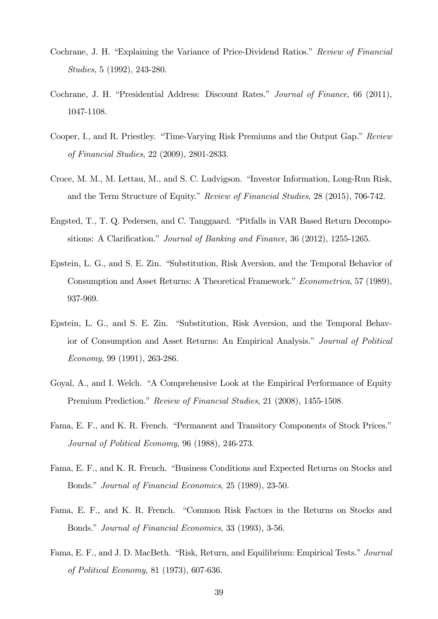- Cochrane, J. H. "Explaining the Variance of Price-Dividend Ratios." Review of Financial Studies, 5 (1992), 243-280.
- Cochrane, J. H. "Presidential Address: Discount Rates." Journal of Finance, 66 (2011), 1047-1108.
- Cooper, I., and R. Priestley. "Time-Varying Risk Premiums and the Output Gap." Review of Financial Studies, 22 (2009), 2801-2833.
- Croce, M. M., M. Lettau, M., and S. C. Ludvigson. "Investor Information, Long-Run Risk, and the Term Structure of Equity." Review of Financial Studies, 28 (2015), 706-742.
- Engsted, T., T. Q. Pedersen, and C. Tanggaard. "Pitfalls in VAR Based Return Decompositions: A Clarification." Journal of Banking and Finance, 36 (2012), 1255-1265.
- Epstein, L. G., and S. E. Zin. "Substitution, Risk Aversion, and the Temporal Behavior of Consumption and Asset Returns: A Theoretical Framework." Econometrica, 57 (1989), 937-969.
- Epstein, L. G., and S. E. Zin. "Substitution, Risk Aversion, and the Temporal Behavior of Consumption and Asset Returns: An Empirical Analysis." Journal of Political Economy, 99 (1991), 263-286.
- Goyal, A., and I. Welch. "A Comprehensive Look at the Empirical Performance of Equity Premium Prediction." Review of Financial Studies, 21 (2008), 1455-1508.
- Fama, E. F., and K. R. French. "Permanent and Transitory Components of Stock Prices." Journal of Political Economy, 96 (1988), 246-273.
- Fama, E. F., and K. R. French. "Business Conditions and Expected Returns on Stocks and Bonds." Journal of Financial Economics, 25 (1989), 23-50.
- Fama, E. F., and K. R. French. "Common Risk Factors in the Returns on Stocks and Bonds." Journal of Financial Economics, 33 (1993), 3-56.
- Fama, E. F., and J. D. MacBeth. "Risk, Return, and Equilibrium: Empirical Tests." Journal of Political Economy, 81 (1973), 607-636.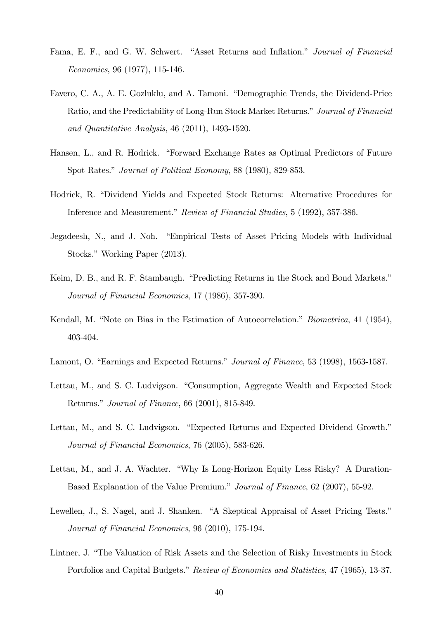- Fama, E. F., and G. W. Schwert. "Asset Returns and Inflation." Journal of Financial Economics, 96 (1977), 115-146.
- Favero, C. A., A. E. Gozluklu, and A. Tamoni. "Demographic Trends, the Dividend-Price Ratio, and the Predictability of Long-Run Stock Market Returns." Journal of Financial and Quantitative Analysis, 46 (2011), 1493-1520.
- Hansen, L., and R. Hodrick. "Forward Exchange Rates as Optimal Predictors of Future Spot Rates." Journal of Political Economy, 88 (1980), 829-853.
- Hodrick, R. "Dividend Yields and Expected Stock Returns: Alternative Procedures for Inference and Measurement." Review of Financial Studies, 5 (1992), 357-386.
- Jegadeesh, N., and J. Noh. "Empirical Tests of Asset Pricing Models with Individual Stocks." Working Paper (2013).
- Keim, D. B., and R. F. Stambaugh. "Predicting Returns in the Stock and Bond Markets." Journal of Financial Economics, 17 (1986), 357-390.
- Kendall, M. "Note on Bias in the Estimation of Autocorrelation." *Biometrica*, 41 (1954), 403-404.
- Lamont, O. "Earnings and Expected Returns." Journal of Finance, 53 (1998), 1563-1587.
- Lettau, M., and S. C. Ludvigson. "Consumption, Aggregate Wealth and Expected Stock Returns." *Journal of Finance*, 66 (2001), 815-849.
- Lettau, M., and S. C. Ludvigson. "Expected Returns and Expected Dividend Growth." Journal of Financial Economics, 76 (2005), 583-626.
- Lettau, M., and J. A. Wachter. "Why Is Long-Horizon Equity Less Risky? A Duration-Based Explanation of the Value Premium." Journal of Finance, 62 (2007), 55-92.
- Lewellen, J., S. Nagel, and J. Shanken. "A Skeptical Appraisal of Asset Pricing Tests." Journal of Financial Economics, 96 (2010), 175-194.
- Lintner, J. "The Valuation of Risk Assets and the Selection of Risky Investments in Stock Portfolios and Capital Budgets." Review of Economics and Statistics, 47 (1965), 13-37.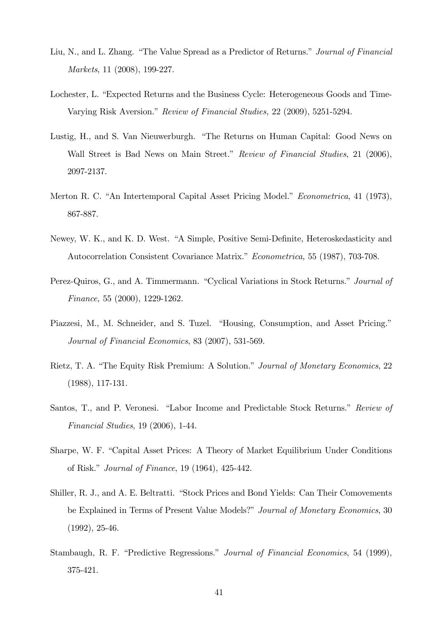- Liu, N., and L. Zhang. "The Value Spread as a Predictor of Returns." Journal of Financial Markets, 11 (2008), 199-227.
- Lochester, L. "Expected Returns and the Business Cycle: Heterogeneous Goods and Time-Varying Risk Aversion." Review of Financial Studies, 22 (2009), 5251-5294.
- Lustig, H., and S. Van Nieuwerburgh. "The Returns on Human Capital: Good News on Wall Street is Bad News on Main Street." Review of Financial Studies, 21 (2006), 2097-2137.
- Merton R. C. "An Intertemporal Capital Asset Pricing Model." Econometrica, 41 (1973), 867-887.
- Newey, W. K., and K. D. West. "A Simple, Positive Semi-Definite, Heteroskedasticity and Autocorrelation Consistent Covariance Matrix." Econometrica, 55 (1987), 703-708.
- Perez-Quiros, G., and A. Timmermann. "Cyclical Variations in Stock Returns." Journal of Finance, 55 (2000), 1229-1262.
- Piazzesi, M., M. Schneider, and S. Tuzel. "Housing, Consumption, and Asset Pricing." Journal of Financial Economics, 83 (2007), 531-569.
- Rietz, T. A. "The Equity Risk Premium: A Solution." Journal of Monetary Economics, 22 (1988), 117-131.
- Santos, T., and P. Veronesi. "Labor Income and Predictable Stock Returns." Review of Financial Studies, 19 (2006), 1-44.
- Sharpe, W. F. "Capital Asset Prices: A Theory of Market Equilibrium Under Conditions of Risk." *Journal of Finance*, 19 (1964), 425-442.
- Shiller, R. J., and A. E. Beltratti. "Stock Prices and Bond Yields: Can Their Comovements be Explained in Terms of Present Value Models?" Journal of Monetary Economics, 30 (1992), 25-46.
- Stambaugh, R. F. "Predictive Regressions." Journal of Financial Economics, 54 (1999), 375-421.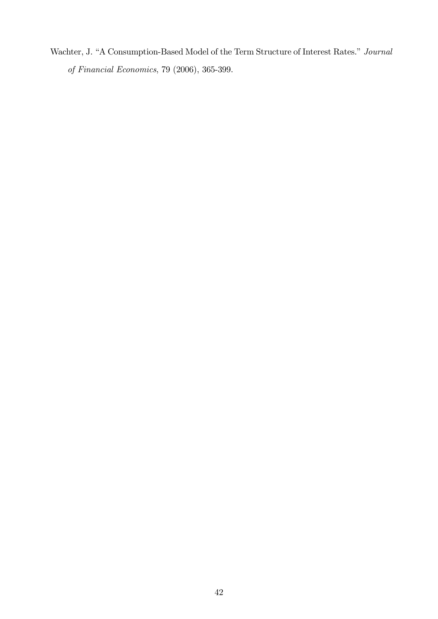Wachter, J. "A Consumption-Based Model of the Term Structure of Interest Rates." Journal of Financial Economics, 79 (2006), 365-399.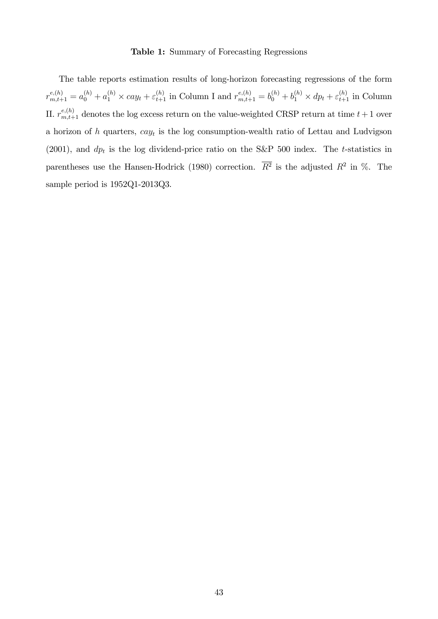#### Table 1: Summary of Forecasting Regressions

The table reports estimation results of long-horizon forecasting regressions of the form  $r_{m,t+1}^{e,(h)} = a_0^{(h)} + a_1^{(h)} \times cay_t + \varepsilon_{t+1}^{(h)}$  in Column I and  $r_{m,t+1}^{e,(h)} = b_0^{(h)} + b_1^{(h)} \times dp_t + \varepsilon_{t+1}^{(h)}$  in Column II.  $r_{m,t+1}^{e,(h)}$  denotes the log excess return on the value-weighted CRSP return at time  $t+1$  over a horizon of h quarters,  $cay_t$  is the log consumption-wealth ratio of Lettau and Ludvigson (2001), and  $dp_t$  is the log dividend-price ratio on the S&P 500 index. The t-statistics in parentheses use the Hansen-Hodrick (1980) correction.  $\overline{R^2}$  is the adjusted  $R^2$  in %. The sample period is 1952Q1-2013Q3.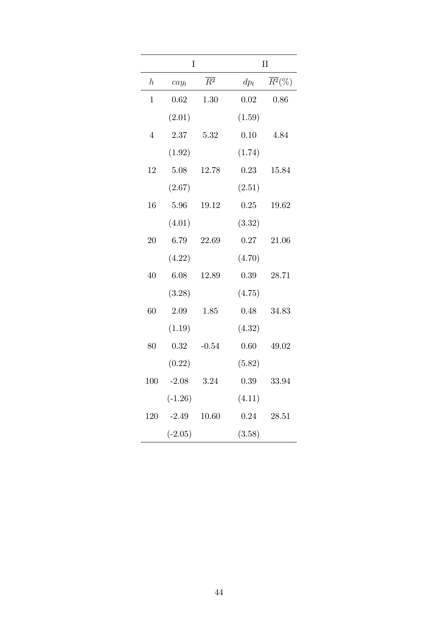|                  | $\rm I$   |                  | $\rm II$ |                      |  |  |
|------------------|-----------|------------------|----------|----------------------|--|--|
| $\boldsymbol{h}$ | $cay_t$   | $\overline{R^2}$ | $dp_t$   | $\overline{R^2}(\%)$ |  |  |
| $\mathbf{1}$     | 0.62      | 1.30             | $0.02\,$ | 0.86                 |  |  |
|                  | (2.01)    |                  | (1.59)   |                      |  |  |
| $\overline{4}$   | 2.37      | 5.32             | 0.10     | 4.84                 |  |  |
|                  | (1.92)    |                  | (1.74)   |                      |  |  |
| 12               | 5.08      | 12.78            | 0.23     | 15.84                |  |  |
|                  | (2.67)    |                  | (2.51)   |                      |  |  |
| 16               | 5.96      | 19.12            | 0.25     | 19.62                |  |  |
|                  | (4.01)    |                  | (3.32)   |                      |  |  |
| 20               | 6.79      | 22.69            | 0.27     | 21.06                |  |  |
|                  | (4.22)    |                  | (4.70)   |                      |  |  |
| 40               | 6.08      | 12.89            | 0.39     | 28.71                |  |  |
|                  | (3.28)    |                  | (4.75)   |                      |  |  |
| 60               | 2.09      | 1.85             | 0.48     | 34.83                |  |  |
|                  | (1.19)    |                  | (4.32)   |                      |  |  |
| 80               | 0.32      | $-0.54$          | 0.60     | 49.02                |  |  |
|                  | (0.22)    |                  | (5.82)   |                      |  |  |
| 100              | $-2.08$   | 3.24             | 0.39     | 33.94                |  |  |
|                  | $(-1.26)$ |                  | (4.11)   |                      |  |  |
|                  | 120 -2.49 | 10.60            | 0.24     | 28.51                |  |  |
|                  | $(-2.05)$ |                  | (3.58)   |                      |  |  |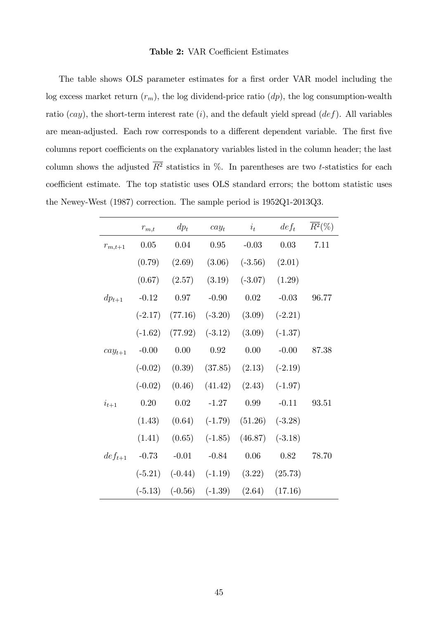#### Table 2: VAR Coefficient Estimates

The table shows OLS parameter estimates for a first order VAR model including the log excess market return  $(r_m)$ , the log dividend-price ratio  $(dp)$ , the log consumption-wealth ratio  $(cay)$ , the short-term interest rate  $(i)$ , and the default yield spread  $(def)$ . All variables are mean-adjusted. Each row corresponds to a different dependent variable. The first five columns report coefficients on the explanatory variables listed in the column header; the last column shows the adjusted  $\overline{R^2}$  statistics in %. In parentheses are two t-statistics for each coefficient estimate. The top statistic uses OLS standard errors; the bottom statistic uses the Newey-West (1987) correction. The sample period is 1952Q1-2013Q3.

|             | $r_{m,t}$ | $dp_t$                                 | $cay_t$             | $i_t$                                  | $def_t$            | $\overline{R^2}(\%)$ |
|-------------|-----------|----------------------------------------|---------------------|----------------------------------------|--------------------|----------------------|
| $r_{m,t+1}$ | 0.05      | 0.04                                   | 0.95                | $-0.03$                                | 0.03               | 7.11                 |
|             | (0.79)    | (2.69)                                 | (3.06)              | $(-3.56)$                              | (2.01)             |                      |
|             | (0.67)    | (2.57)                                 | (3.19)              | $(-3.07)$                              | (1.29)             |                      |
| $dp_{t+1}$  | $-0.12$   | 0.97                                   | $-0.90$             | 0.02                                   | $-0.03$            | 96.77                |
|             | $(-2.17)$ |                                        | $(77.16)$ $(-3.20)$ | (3.09)                                 | $(-2.21)$          |                      |
|             | $(-1.62)$ | (77.92)                                | $(-3.12)$           | (3.09)                                 | $(-1.37)$          |                      |
| $cay_{t+1}$ | $-0.00$   | 0.00                                   | 0.92                | 0.00                                   | $-0.00$            | 87.38                |
|             | $(-0.02)$ | (0.39)                                 | (37.85)             |                                        | $(2.13)$ $(-2.19)$ |                      |
|             | $(-0.02)$ | (0.46)                                 | (41.42)             | (2.43)                                 | $(-1.97)$          |                      |
| $i_{t+1}$   | 0.20      | 0.02                                   | $-1.27$             | 0.99                                   | $-0.11$            | 93.51                |
|             | (1.43)    | (0.64)                                 | $(-1.79)$           | $(51.26)$ $(-3.28)$                    |                    |                      |
|             | (1.41)    | (0.65)                                 | $(-1.85)$           | (46.87)                                | $(-3.18)$          |                      |
| $def_{t+1}$ | $-0.73$   | $-0.01$                                | $-0.84$             | 0.06                                   | 0.82               | 78.70                |
|             |           |                                        |                     | $(-5.21)$ $(-0.44)$ $(-1.19)$ $(3.22)$ | (25.73)            |                      |
|             |           | $(-5.13)$ $(-0.56)$ $(-1.39)$ $(2.64)$ |                     |                                        | (17.16)            |                      |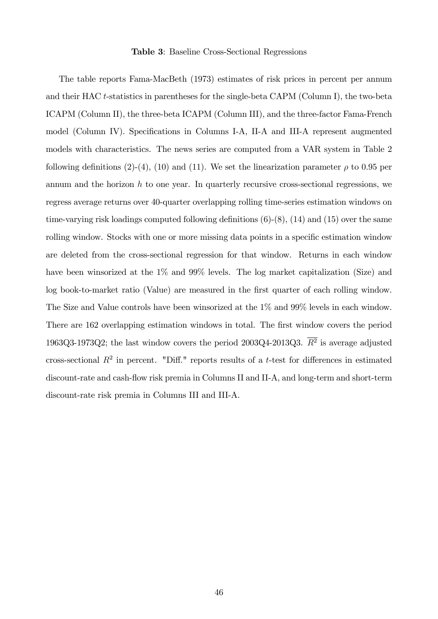#### Table 3: Baseline Cross-Sectional Regressions

The table reports Fama-MacBeth (1973) estimates of risk prices in percent per annum and their HAC t-statistics in parentheses for the single-beta CAPM (Column I), the two-beta ICAPM (Column II), the three-beta ICAPM (Column III), and the three-factor Fama-French model (Column IV). Specifications in Columns I-A, II-A and III-A represent augmented models with characteristics. The news series are computed from a VAR system in Table 2 following definitions (2)-(4), (10) and (11). We set the linearization parameter  $\rho$  to 0.95 per annum and the horizon  $h$  to one year. In quarterly recursive cross-sectional regressions, we regress average returns over 40-quarter overlapping rolling time-series estimation windows on time-varying risk loadings computed following definitions  $(6)-(8)$ ,  $(14)$  and  $(15)$  over the same rolling window. Stocks with one or more missing data points in a specific estimation window are deleted from the cross-sectional regression for that window. Returns in each window have been winsorized at the 1% and 99% levels. The log market capitalization (Size) and log book-to-market ratio (Value) are measured in the first quarter of each rolling window. The Size and Value controls have been winsorized at the 1% and 99% levels in each window. There are 162 overlapping estimation windows in total. The first window covers the period 1963Q3-1973Q2; the last window covers the period  $2003Q4-2013Q3$ .  $R^2$  is average adjusted cross-sectional  $R^2$  in percent. "Diff." reports results of a t-test for differences in estimated discount-rate and cash-flow risk premia in Columns II and II-A, and long-term and short-term discount-rate risk premia in Columns III and III-A.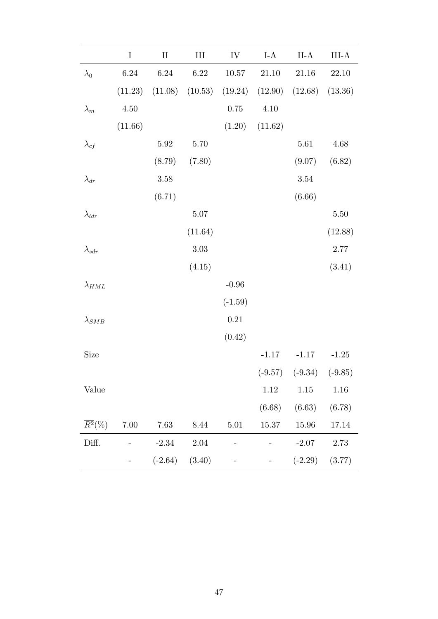|                      | $\rm I$  | $\rm II$ | III                | ${\rm IV}$ | $I-A$     | $II-A$    | $III-A$   |
|----------------------|----------|----------|--------------------|------------|-----------|-----------|-----------|
| $\lambda_0$          | 6.24     | 6.24     | 6.22               | 10.57      | 21.10     | 21.16     | 22.10     |
|                      | (11.23)  | (11.08)  | (10.53)            | (19.24)    | (12.90)   | (12.68)   | (13.36)   |
| $\lambda_m$          | $4.50\,$ |          |                    | 0.75       | 4.10      |           |           |
|                      | (11.66)  |          |                    | (1.20)     | (11.62)   |           |           |
| $\lambda_{cf}$       |          | $5.92\,$ | 5.70               |            |           | $5.61\,$  | 4.68      |
|                      |          | (8.79)   | (7.80)             |            |           | (9.07)    | (6.82)    |
| $\lambda_{dr}$       |          | $3.58\,$ |                    |            |           | $3.54\,$  |           |
|                      |          | (6.71)   |                    |            |           | (6.66)    |           |
| $\lambda_{ldr}$      |          |          | $5.07\,$           |            |           |           | $5.50\,$  |
|                      |          |          | (11.64)            |            |           |           | (12.88)   |
| $\lambda_{sdr}$      |          |          | $3.03\,$           |            |           |           | 2.77      |
|                      |          |          | (4.15)             |            |           |           | (3.41)    |
| $\lambda_{HML}$      |          |          |                    | $-0.96$    |           |           |           |
|                      |          |          |                    | $(-1.59)$  |           |           |           |
| $\lambda_{SMB}$      |          |          |                    | 0.21       |           |           |           |
|                      |          |          |                    | (0.42)     |           |           |           |
| <b>Size</b>          |          |          |                    |            | $-1.17$   | $-1.17$   | $-1.25$   |
|                      |          |          |                    |            | $(-9.57)$ | $(-9.34)$ | $(-9.85)$ |
| Value                |          |          |                    |            | $1.12\,$  | 1.15      | $1.16\,$  |
|                      |          |          |                    |            | (6.68)    | (6.63)    | (6.78)    |
| $\overline{R^2}(\%)$ | $7.00\,$ | 7.63     | 8.44               | 5.01       | 15.37     | 15.96     | 17.14     |
| Diff.                |          | $-2.34$  | $2.04\,$           |            |           | $-2.07$   | $2.73\,$  |
|                      |          |          | $(-2.64)$ $(3.40)$ |            |           | $(-2.29)$ | (3.77)    |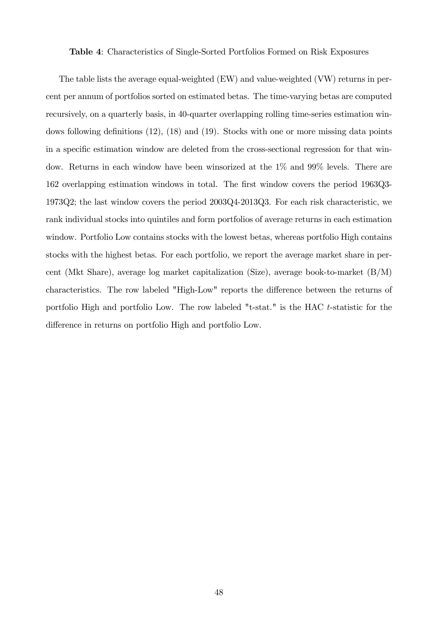#### Table 4: Characteristics of Single-Sorted Portfolios Formed on Risk Exposures

The table lists the average equal-weighted (EW) and value-weighted (VW) returns in percent per annum of portfolios sorted on estimated betas. The time-varying betas are computed recursively, on a quarterly basis, in 40-quarter overlapping rolling time-series estimation windows following definitions  $(12)$ ,  $(18)$  and  $(19)$ . Stocks with one or more missing data points in a specific estimation window are deleted from the cross-sectional regression for that window. Returns in each window have been winsorized at the 1% and 99% levels. There are 162 overlapping estimation windows in total. The first window covers the period 1963Q3-1973Q2; the last window covers the period 2003Q4-2013Q3. For each risk characteristic, we rank individual stocks into quintiles and form portfolios of average returns in each estimation window. Portfolio Low contains stocks with the lowest betas, whereas portfolio High contains stocks with the highest betas. For each portfolio, we report the average market share in percent (Mkt Share), average log market capitalization (Size), average book-to-market (B/M) characteristics. The row labeled "High-Low" reports the difference between the returns of portfolio High and portfolio Low. The row labeled "t-stat." is the HAC t-statistic for the difference in returns on portfolio High and portfolio Low.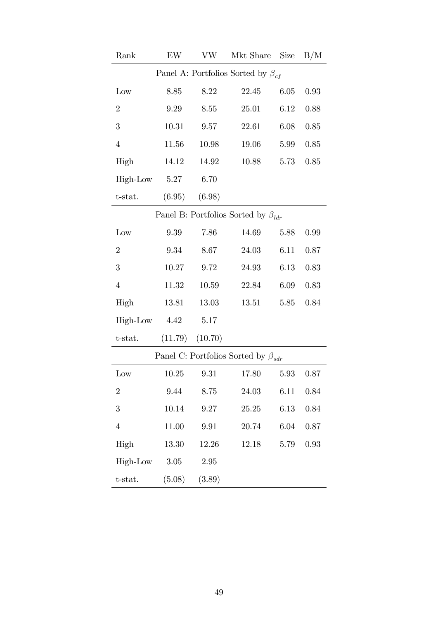| Rank                                               | EW       | <b>VW</b> | Mkt Share                                            | <b>Size</b> | B/M  |  |  |  |  |  |
|----------------------------------------------------|----------|-----------|------------------------------------------------------|-------------|------|--|--|--|--|--|
|                                                    |          |           | Panel A: Portfolios Sorted by $\beta_{cf}$           |             |      |  |  |  |  |  |
| Low                                                | 8.85     | 8.22      | 22.45                                                | 6.05        | 0.93 |  |  |  |  |  |
| $\overline{2}$                                     | 9.29     | 8.55      | 25.01                                                | 6.12        | 0.88 |  |  |  |  |  |
| 3                                                  | 10.31    | 9.57      | 22.61                                                | 6.08        | 0.85 |  |  |  |  |  |
| $\overline{4}$                                     | 11.56    | 10.98     | 19.06                                                | 5.99        | 0.85 |  |  |  |  |  |
| High                                               | 14.12    | 14.92     | 10.88                                                | 5.73        | 0.85 |  |  |  |  |  |
| High-Low                                           | $5.27\,$ | 6.70      |                                                      |             |      |  |  |  |  |  |
| t-stat.                                            | (6.95)   | (6.98)    |                                                      |             |      |  |  |  |  |  |
| Panel B: Portfolios Sorted by $\beta_{\text{Idr}}$ |          |           |                                                      |             |      |  |  |  |  |  |
| Low                                                | 9.39     | 7.86      | 14.69                                                | 5.88        | 0.99 |  |  |  |  |  |
| $\overline{2}$                                     | 9.34     | 8.67      | 24.03                                                | 6.11        | 0.87 |  |  |  |  |  |
| 3                                                  | 10.27    | 9.72      | 24.93                                                | 6.13        | 0.83 |  |  |  |  |  |
| $\overline{4}$                                     | 11.32    | 10.59     | 22.84                                                | 6.09        | 0.83 |  |  |  |  |  |
| High                                               | 13.81    | 13.03     | 13.51                                                | 5.85        | 0.84 |  |  |  |  |  |
| High-Low                                           | 4.42     | 5.17      |                                                      |             |      |  |  |  |  |  |
| t-stat.                                            | (11.79)  | (10.70)   |                                                      |             |      |  |  |  |  |  |
|                                                    |          |           | Panel C: Portfolios Sorted by $\beta_{\mathit{sdr}}$ |             |      |  |  |  |  |  |
| $_{\text{Low}}$                                    | 10.25    | 9.31      | 17.80                                                | 5.93        | 0.87 |  |  |  |  |  |
| $\boldsymbol{2}$                                   | 9.44     | 8.75      | 24.03                                                | 6.11        | 0.84 |  |  |  |  |  |
| 3                                                  | 10.14    | $\,9.27$  | 25.25                                                | 6.13        | 0.84 |  |  |  |  |  |
| $\overline{4}$                                     | 11.00    | 9.91      | 20.74                                                | 6.04        | 0.87 |  |  |  |  |  |
| High                                               | 13.30    | 12.26     | 12.18                                                | 5.79        | 0.93 |  |  |  |  |  |
| High-Low                                           | 3.05     | $2.95\,$  |                                                      |             |      |  |  |  |  |  |
| t-stat.                                            | (5.08)   | (3.89)    |                                                      |             |      |  |  |  |  |  |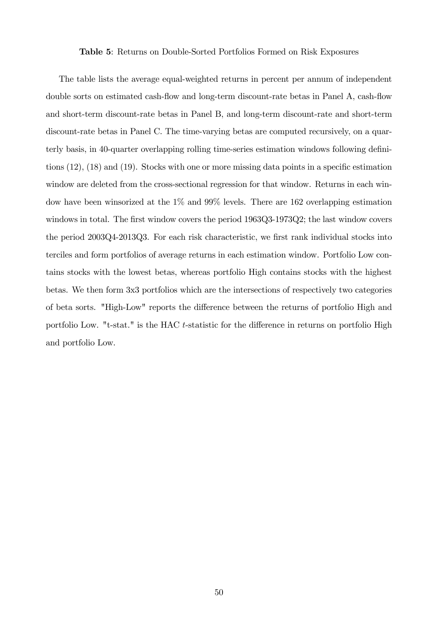#### Table 5: Returns on Double-Sorted Portfolios Formed on Risk Exposures

The table lists the average equal-weighted returns in percent per annum of independent double sorts on estimated cash-flow and long-term discount-rate betas in Panel A, cash-flow and short-term discount-rate betas in Panel B, and long-term discount-rate and short-term discount-rate betas in Panel C. The time-varying betas are computed recursively, on a quarterly basis, in 40-quarter overlapping rolling time-series estimation windows following definitions  $(12)$ ,  $(18)$  and  $(19)$ . Stocks with one or more missing data points in a specific estimation window are deleted from the cross-sectional regression for that window. Returns in each window have been winsorized at the 1% and 99% levels. There are 162 overlapping estimation windows in total. The first window covers the period 1963Q3-1973Q2; the last window covers the period 2003Q4-2013Q3. For each risk characteristic, we first rank individual stocks into terciles and form portfolios of average returns in each estimation window. Portfolio Low contains stocks with the lowest betas, whereas portfolio High contains stocks with the highest betas. We then form 3x3 portfolios which are the intersections of respectively two categories of beta sorts. "High-Low" reports the difference between the returns of portfolio High and portfolio Low. "t-stat." is the HAC t-statistic for the difference in returns on portfolio High and portfolio Low.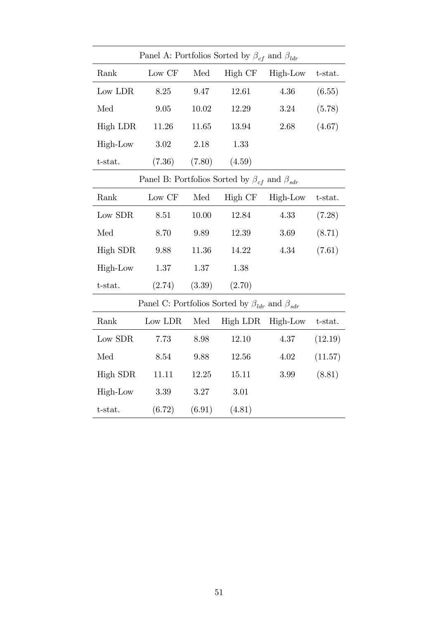| Panel A: Portfolios Sorted by $\beta_{cf}$ and $\beta_{ldr}$ |          |                               |                                                               |          |         |  |  |  |  |  |
|--------------------------------------------------------------|----------|-------------------------------|---------------------------------------------------------------|----------|---------|--|--|--|--|--|
| Rank                                                         | Low CF   | Med                           | High CF                                                       | High-Low | t-stat. |  |  |  |  |  |
| Low LDR                                                      | 8.25     | 9.47                          | 12.61                                                         | 4.36     | (6.55)  |  |  |  |  |  |
| Med                                                          | 9.05     | 10.02                         | 12.29                                                         | 3.24     | (5.78)  |  |  |  |  |  |
| High LDR                                                     | 11.26    | $11.65\,$                     | 13.94                                                         | 2.68     | (4.67)  |  |  |  |  |  |
| High-Low                                                     | 3.02     | 2.18                          | 1.33                                                          |          |         |  |  |  |  |  |
| t-stat.                                                      | (7.36)   | (7.80)                        | (4.59)                                                        |          |         |  |  |  |  |  |
|                                                              |          |                               | Panel B: Portfolios Sorted by $\beta_{cf}$ and $\beta_{sdr}$  |          |         |  |  |  |  |  |
| Rank                                                         | Low CF   | Med                           | High CF                                                       | High-Low | t-stat. |  |  |  |  |  |
| Low SDR                                                      | 8.51     | 10.00                         | 12.84                                                         | 4.33     | (7.28)  |  |  |  |  |  |
| Med                                                          | 8.70     | 9.89                          | 12.39                                                         | 3.69     | (8.71)  |  |  |  |  |  |
| High SDR                                                     | 9.88     | 11.36                         | 14.22                                                         | 4.34     | (7.61)  |  |  |  |  |  |
| High-Low                                                     | $1.37\,$ | 1.37                          | 1.38                                                          |          |         |  |  |  |  |  |
| $t$ -stat.                                                   | (2.74)   | (3.39)                        | (2.70)                                                        |          |         |  |  |  |  |  |
|                                                              |          |                               | Panel C: Portfolios Sorted by $\beta_{ldr}$ and $\beta_{sdr}$ |          |         |  |  |  |  |  |
| Rank                                                         | Low LDR  | $\operatorname{\mathsf{Med}}$ | High LDR                                                      | High-Low | t-stat. |  |  |  |  |  |
| Low SDR                                                      | 7.73     | 8.98                          | 12.10                                                         | 4.37     | (12.19) |  |  |  |  |  |
| Med                                                          | 8.54     | 9.88                          | 12.56                                                         | 4.02     | (11.57) |  |  |  |  |  |
| High SDR                                                     | 11.11    | 12.25                         | 15.11                                                         | 3.99     | (8.81)  |  |  |  |  |  |
| High-Low                                                     | 3.39     | 3.27                          | 3.01                                                          |          |         |  |  |  |  |  |
| t-stat.                                                      | (6.72)   | (6.91)                        | (4.81)                                                        |          |         |  |  |  |  |  |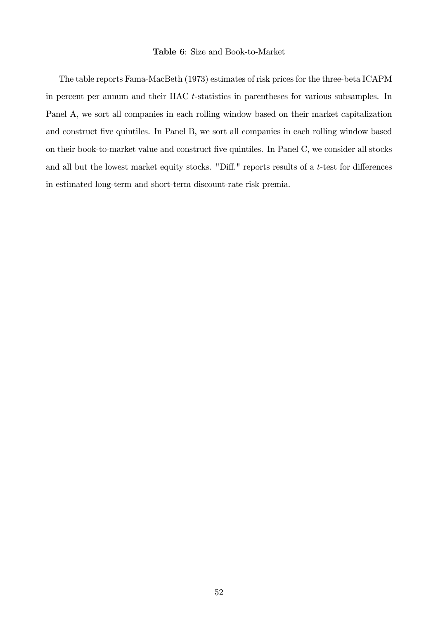#### Table 6: Size and Book-to-Market

The table reports Fama-MacBeth (1973) estimates of risk prices for the three-beta ICAPM in percent per annum and their HAC t-statistics in parentheses for various subsamples. In Panel A, we sort all companies in each rolling window based on their market capitalization and construct five quintiles. In Panel B, we sort all companies in each rolling window based on their book-to-market value and construct five quintiles. In Panel C, we consider all stocks and all but the lowest market equity stocks. "Diff." reports results of a  $t$ -test for differences in estimated long-term and short-term discount-rate risk premia.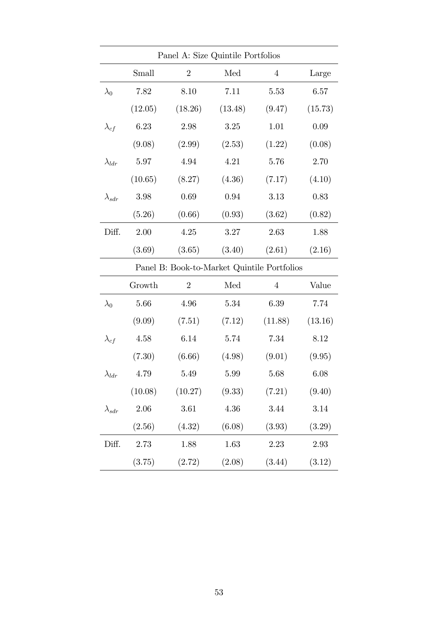| Panel A: Size Quintile Portfolios |          |                                             |                      |                |          |  |  |  |  |  |
|-----------------------------------|----------|---------------------------------------------|----------------------|----------------|----------|--|--|--|--|--|
|                                   | Small    | $\overline{2}$                              | Med                  | $\overline{4}$ | Large    |  |  |  |  |  |
| $\lambda_0$                       | 7.82     | 8.10                                        | 7.11                 | 5.53           | 6.57     |  |  |  |  |  |
|                                   | (12.05)  | (18.26)                                     | (13.48)              | (9.47)         | (15.73)  |  |  |  |  |  |
| $\lambda_{cf}$                    | 6.23     | 2.98                                        | 3.25                 | 1.01           | 0.09     |  |  |  |  |  |
|                                   | (9.08)   | (2.99)                                      | (2.53)               | (1.22)         | (0.08)   |  |  |  |  |  |
| $\lambda_{ldr}$                   | 5.97     | 4.94                                        | 4.21                 | 5.76           | 2.70     |  |  |  |  |  |
|                                   | (10.65)  | (8.27)                                      | (4.36)               | (7.17)         | (4.10)   |  |  |  |  |  |
| $\lambda_{sdr}$                   | 3.98     | 0.69                                        | 0.94                 | 3.13           | 0.83     |  |  |  |  |  |
|                                   | (5.26)   | (0.66)                                      | (0.93)               | (3.62)         | (0.82)   |  |  |  |  |  |
| Diff.                             | 2.00     | 4.25                                        | 3.27                 | 2.63           | 1.88     |  |  |  |  |  |
|                                   | (3.69)   | (3.65)                                      | (3.40)               | (2.61)         | (2.16)   |  |  |  |  |  |
|                                   |          | Panel B: Book-to-Market Quintile Portfolios |                      |                |          |  |  |  |  |  |
|                                   | Growth   | $\overline{2}$                              | $\operatorname{Med}$ | $\overline{4}$ | Value    |  |  |  |  |  |
| $\lambda_0$                       | 5.66     | 4.96                                        | 5.34                 | 6.39           | 7.74     |  |  |  |  |  |
|                                   | (9.09)   | (7.51)                                      | (7.12)               | (11.88)        | (13.16)  |  |  |  |  |  |
| $\lambda_{cf}$                    | 4.58     | 6.14                                        | 5.74                 | 7.34           | 8.12     |  |  |  |  |  |
|                                   | (7.30)   | (6.66)                                      | (4.98)               | (9.01)         | (9.95)   |  |  |  |  |  |
| $\lambda_{ldr}$                   | 4.79     | 5.49                                        | 5.99                 | 5.68           | 6.08     |  |  |  |  |  |
|                                   | (10.08)  | (10.27)                                     | (9.33)               | (7.21)         | (9.40)   |  |  |  |  |  |
| $\lambda_{sdr}$                   | $2.06\,$ | 3.61                                        | $4.36\,$             | 3.44           | $3.14\,$ |  |  |  |  |  |
|                                   | (2.56)   | (4.32)                                      | (6.08)               | (3.93)         | (3.29)   |  |  |  |  |  |
| Diff.                             | 2.73     | 1.88                                        | 1.63                 | 2.23           | 2.93     |  |  |  |  |  |
|                                   | (3.75)   | (2.72)                                      | (2.08)               | (3.44)         | (3.12)   |  |  |  |  |  |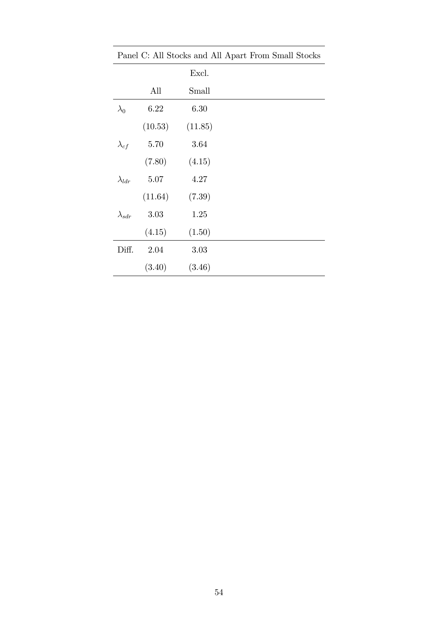| Panel C: All Stocks and All Apart From Small Stocks |         |         |  |  |  |  |  |
|-----------------------------------------------------|---------|---------|--|--|--|--|--|
|                                                     |         | Excl.   |  |  |  |  |  |
|                                                     | All     | Small   |  |  |  |  |  |
| $\lambda_0$                                         | 6.22    | 6.30    |  |  |  |  |  |
|                                                     | (10.53) | (11.85) |  |  |  |  |  |
| $\lambda_{cf}$                                      | 5.70    | 3.64    |  |  |  |  |  |
|                                                     | (7.80)  | (4.15)  |  |  |  |  |  |
| $\lambda_{ldr}$                                     | 5.07    | 4.27    |  |  |  |  |  |
|                                                     | (11.64) | (7.39)  |  |  |  |  |  |
| $\lambda_{sdr}$                                     | 3.03    | 1.25    |  |  |  |  |  |
|                                                     | (4.15)  | (1.50)  |  |  |  |  |  |
| Diff.                                               | 2.04    | 3.03    |  |  |  |  |  |
|                                                     | (3.40)  | (3.46)  |  |  |  |  |  |

Panel C: All Stocks and All Apart From Small Stocks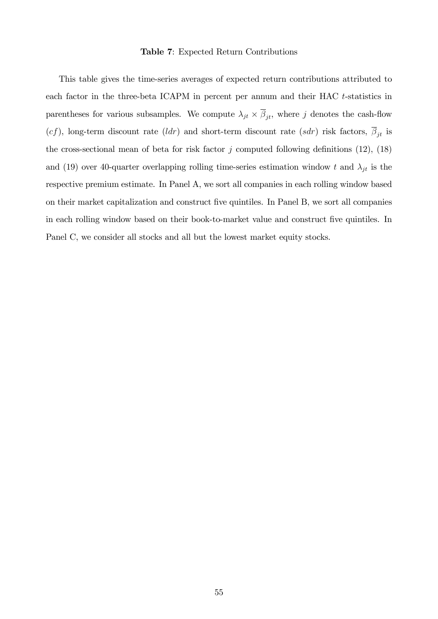#### Table 7: Expected Return Contributions

This table gives the time-series averages of expected return contributions attributed to each factor in the three-beta ICAPM in percent per annum and their HAC t-statistics in parentheses for various subsamples. We compute  $\lambda_{jt} \times \beta_{jt}$ , where j denotes the cash-flow (cf), long-term discount rate (ldr) and short-term discount rate (sdr) risk factors,  $\overline{\beta}_{jt}$  is the cross-sectional mean of beta for risk factor j computed following definitions  $(12)$ ,  $(18)$ and (19) over 40-quarter overlapping rolling time-series estimation window t and  $\lambda_{jt}$  is the respective premium estimate. In Panel A, we sort all companies in each rolling window based on their market capitalization and construct Öve quintiles. In Panel B, we sort all companies in each rolling window based on their book-to-market value and construct five quintiles. In Panel C, we consider all stocks and all but the lowest market equity stocks.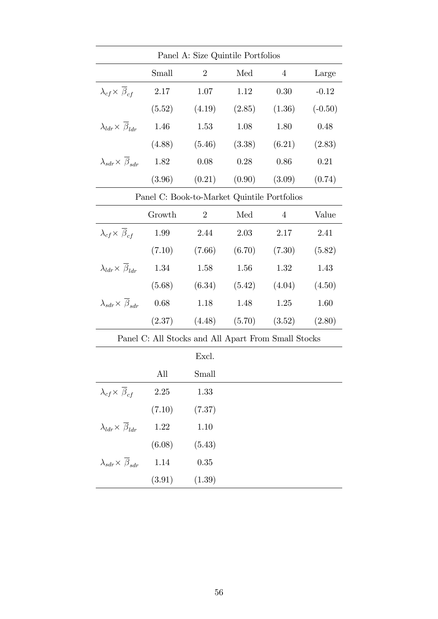| Panel A: Size Quintile Portfolios             |                                                     |                |        |                |           |  |  |  |  |  |  |
|-----------------------------------------------|-----------------------------------------------------|----------------|--------|----------------|-----------|--|--|--|--|--|--|
|                                               | Small                                               | $\overline{2}$ | Med    | 4              | Large     |  |  |  |  |  |  |
| $\lambda_{cf} \times \bar{\beta}_{cf}$        | 2.17                                                | 1.07           | 1.12   | 0.30           | $-0.12$   |  |  |  |  |  |  |
|                                               | (5.52)                                              | (4.19)         | (2.85) | (1.36)         | $(-0.50)$ |  |  |  |  |  |  |
| $\lambda_{ldr} \times \overline{\beta}_{ldr}$ | 1.46                                                | 1.53           | 1.08   | 1.80           | 0.48      |  |  |  |  |  |  |
|                                               | (4.88)                                              | (5.46)         | (3.38) | (6.21)         | (2.83)    |  |  |  |  |  |  |
| $\lambda_{sdr} \times \beta_{sdr}$            | 1.82                                                | 0.08           | 0.28   | 0.86           | 0.21      |  |  |  |  |  |  |
|                                               | (3.96)                                              | (0.21)         | (0.90) | (3.09)         | (0.74)    |  |  |  |  |  |  |
| Panel C: Book-to-Market Quintile Portfolios   |                                                     |                |        |                |           |  |  |  |  |  |  |
|                                               | Growth                                              | $\overline{2}$ | Med    | $\overline{4}$ | Value     |  |  |  |  |  |  |
| $\lambda_{cf} \times \beta_{cf}$              | 1.99                                                | 2.44           | 2.03   | 2.17           | 2.41      |  |  |  |  |  |  |
|                                               | (7.10)                                              | (7.66)         | (6.70) | (7.30)         | (5.82)    |  |  |  |  |  |  |
| $\lambda_{ldr} \times \overline{\beta}_{ldr}$ | 1.34                                                | 1.58           | 1.56   | 1.32           | 1.43      |  |  |  |  |  |  |
|                                               | (5.68)                                              | (6.34)         | (5.42) | (4.04)         | (4.50)    |  |  |  |  |  |  |
| $\lambda_{sdr} \times \overline{\beta}_{sdr}$ | 0.68                                                | 1.18           | 1.48   | 1.25           | 1.60      |  |  |  |  |  |  |
|                                               | (2.37)                                              | (4.48)         | (5.70) | (3.52)         | (2.80)    |  |  |  |  |  |  |
|                                               | Panel C: All Stocks and All Apart From Small Stocks |                |        |                |           |  |  |  |  |  |  |
|                                               |                                                     | Excl.          |        |                |           |  |  |  |  |  |  |
|                                               | All                                                 | Small          |        |                |           |  |  |  |  |  |  |
| $\lambda_{cf} \times \overline{\beta}_{cf}$   | 2.25                                                | 1.33           |        |                |           |  |  |  |  |  |  |
|                                               | (7.10)                                              | (7.37)         |        |                |           |  |  |  |  |  |  |
| $\lambda_{ldr} \times \beta_{ldr}$            | 1.22                                                | 1.10           |        |                |           |  |  |  |  |  |  |
|                                               | (6.08)                                              | (5.43)         |        |                |           |  |  |  |  |  |  |
| $\lambda_{sdr} \times \overline{\beta}_{sdr}$ | 1.14                                                | 0.35           |        |                |           |  |  |  |  |  |  |
|                                               | (3.91)                                              | (1.39)         |        |                |           |  |  |  |  |  |  |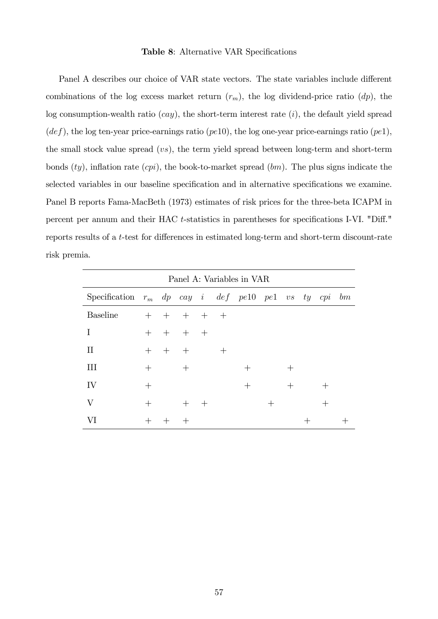#### Table 8: Alternative VAR Specifications

Panel A describes our choice of VAR state vectors. The state variables include different combinations of the log excess market return  $(r_m)$ , the log dividend-price ratio  $(dp)$ , the log consumption-wealth ratio  $(cay)$ , the short-term interest rate  $(i)$ , the default yield spread  $(def)$ , the log ten-year price-earnings ratio (pe10), the log one-year price-earnings ratio (pe1), the small stock value spread (vs), the term yield spread between long-term and short-term bonds  $(ty)$ , inflation rate  $(cpi)$ , the book-to-market spread  $(bm)$ . The plus signs indicate the selected variables in our baseline specification and in alternative specifications we examine. Panel B reports Fama-MacBeth (1973) estimates of risk prices for the three-beta ICAPM in percent per annum and their HAC t-statistics in parentheses for specifications I-VI. "Diff." reports results of a t-test for differences in estimated long-term and short-term discount-rate risk premia.

| Panel A: Variables in VAR                              |        |     |                 |        |        |        |      |        |  |        |  |
|--------------------------------------------------------|--------|-----|-----------------|--------|--------|--------|------|--------|--|--------|--|
| Specification $r_m$ dp cay i def pell pel vs ty cpi bm |        |     |                 |        |        |        |      |        |  |        |  |
| <b>Baseline</b>                                        |        |     | + + + + +       |        |        |        |      |        |  |        |  |
| T                                                      |        |     | $+$ $+$ $+$ $+$ |        |        |        |      |        |  |        |  |
| П                                                      | $^{+}$ | $+$ | $^{+}$          |        | $^{+}$ |        |      |        |  |        |  |
| III                                                    | $\pm$  |     | $^{+}$          |        |        | $^{+}$ |      |        |  |        |  |
| IV                                                     | $^{+}$ |     |                 |        |        | $^{+}$ |      | $^{+}$ |  | $\pm$  |  |
| $\rm V$                                                | $^{+}$ |     | $^{+}$          | $^{+}$ |        |        | $^+$ |        |  | $^{+}$ |  |
| VI                                                     |        |     |                 |        |        |        |      |        |  |        |  |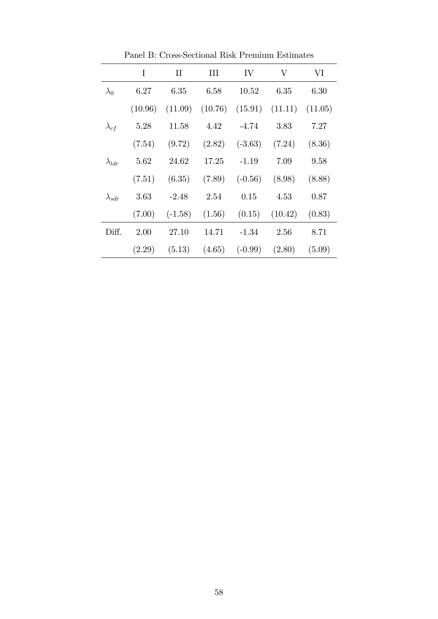|                 | I       | $\rm II$  | Ш                                                 | IV                 | V       | VI     |
|-----------------|---------|-----------|---------------------------------------------------|--------------------|---------|--------|
| $\lambda_0$     | 6.27    | 6.35      | 6.58                                              | 10.52              | 6.35    | 6.30   |
|                 | (10.96) |           | $(11.09)$ $(10.76)$ $(15.91)$ $(11.11)$ $(11.05)$ |                    |         |        |
| $\lambda_{cf}$  | 5.28    | 11.58     | 4.42                                              | $-4.74$            | 3.83    | 7.27   |
|                 | (7.54)  | (9.72)    |                                                   | $(2.82)$ $(-3.63)$ | (7.24)  | (8.36) |
| $\lambda_{ldr}$ | 5.62    | 24.62     | 17.25                                             | $-1.19$            | 7.09    | 9.58   |
|                 | (7.51)  | (6.35)    | (7.89)                                            | $(-0.56)$          | (8.98)  | (8.88) |
| $\lambda_{sdr}$ | 3.63    | $-2.48$   | 2.54                                              | 0.15               | 4.53    | 0.87   |
|                 | (7.00)  | $(-1.58)$ | $(1.56)$ $(0.15)$                                 |                    | (10.42) | (0.83) |
| Diff.           | 2.00    | 27.10     | 14.71                                             | $-1.34$            | 2.56    | 8.71   |
|                 | (2.29)  | (5.13)    | (4.65)                                            | $(-0.99)$ $(2.80)$ |         | (5.09) |

Panel B: Cross-Sectional Risk Premium Estimates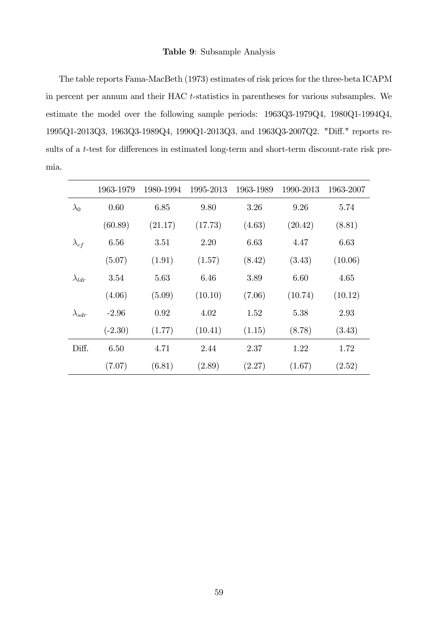#### Table 9: Subsample Analysis

The table reports Fama-MacBeth (1973) estimates of risk prices for the three-beta ICAPM in percent per annum and their HAC t-statistics in parentheses for various subsamples. We estimate the model over the following sample periods: 1963Q3-1979Q4, 1980Q1-1994Q4, 1995Q1-2013Q3, 1963Q3-1989Q4, 1990Q1-2013Q3, and 1963Q3-2007Q2. "Diff." reports results of a  $t$ -test for differences in estimated long-term and short-term discount-rate risk premia.

|                 | 1963-1979 | 1980-1994 | 1995-2013 | 1963-1989 | 1990-2013 | 1963-2007 |
|-----------------|-----------|-----------|-----------|-----------|-----------|-----------|
| $\lambda_0$     | 0.60      | 6.85      | 9.80      | 3.26      | 9.26      | 5.74      |
|                 | (60.89)   | (21.17)   | (17.73)   | (4.63)    | (20.42)   | (8.81)    |
| $\lambda_{cf}$  | 6.56      | 3.51      | 2.20      | 6.63      | 4.47      | 6.63      |
|                 | (5.07)    | (1.91)    | (1.57)    | (8.42)    | (3.43)    | (10.06)   |
| $\lambda_{ldr}$ | 3.54      | 5.63      | 6.46      | 3.89      | 6.60      | 4.65      |
|                 | (4.06)    | (5.09)    | (10.10)   | (7.06)    | (10.74)   | (10.12)   |
| $\lambda_{sdr}$ | $-2.96$   | 0.92      | 4.02      | 1.52      | 5.38      | 2.93      |
|                 | $(-2.30)$ | (1.77)    | (10.41)   | (1.15)    | (8.78)    | (3.43)    |
| Diff.           | 6.50      | 4.71      | 2.44      | 2.37      | 1.22      | 1.72      |
|                 | (7.07)    | (6.81)    | (2.89)    | (2.27)    | (1.67)    | (2.52)    |